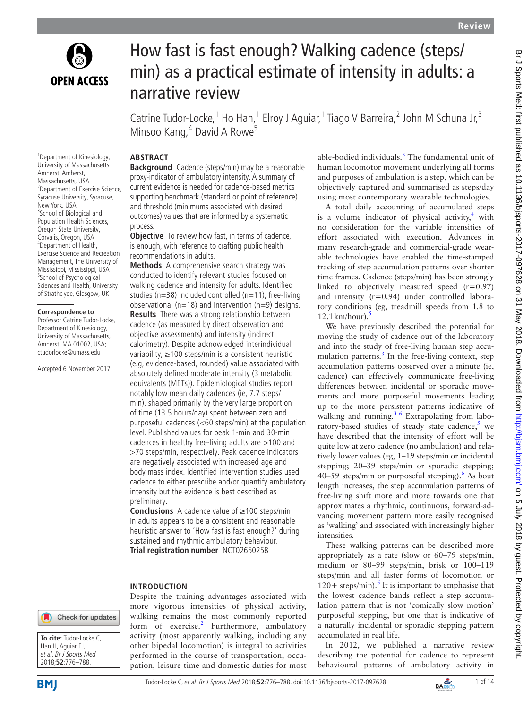

# How fast is fast enough? Walking cadence (steps/ min) as a practical estimate of intensity in adults: a narrative review

Catrine Tudor-Locke,<sup>1</sup> Ho Han,<sup>1</sup> Elroy J Aguiar,<sup>1</sup> Tiago V Barreira,<sup>2</sup> John M Schuna Jr,<sup>3</sup> Minsoo Kang,<sup>4</sup> David A Rowe<sup>5</sup>

## **ABSTRACT**

<sup>1</sup> Department of Kinesiology, University of Massachusetts Amherst, Amherst, Massachusetts, USA <sup>2</sup>Department of Exercise Science, Syracuse University, Syracuse, New York, USA <sup>3</sup>School of Biological and Population Health Sciences, Oregon State University, Corvalis, Oregon, USA 4 Department of Health, Exercise Science and Recreation Management, The University of Mississippi, Mississippi, USA <sup>5</sup>School of Psychological Sciences and Health, University of Strathclyde, Glasgow, UK

#### **Correspondence to**

Professor Catrine Tudor-Locke, Department of Kinesiology, University of Massachusetts, Amherst, MA 01002, USA; ctudorlocke@umass.edu

Accepted 6 November 2017

**Background** Cadence (steps/min) may be a reasonable proxy-indicator of ambulatory intensity. A summary of current evidence is needed for cadence-based metrics supporting benchmark (standard or point of reference) and threshold (minimums associated with desired outcomes) values that are informed by a systematic process.

**Objective** To review how fast, in terms of cadence, is enough, with reference to crafting public health recommendations in adults.

**Methods** A comprehensive search strategy was conducted to identify relevant studies focused on walking cadence and intensity for adults. Identified studies ( $n=38$ ) included controlled ( $n=11$ ), free-living observational ( $n=18$ ) and intervention ( $n=9$ ) designs. **Results** There was a strong relationship between cadence (as measured by direct observation and objective assessments) and intensity (indirect calorimetry). Despite acknowledged interindividual variability, ≥100 steps/min is a consistent heuristic (e.g, evidence-based, rounded) value associated with absolutely defined moderate intensity (3 metabolic equivalents (METs)). Epidemiological studies report notably low mean daily cadences (ie, 7.7 steps/ min), shaped primarily by the very large proportion of time (13.5 hours/day) spent between zero and purposeful cadences (<60 steps/min) at the population level. Published values for peak 1-min and 30-min cadences in healthy free-living adults are >100 and >70 steps/min, respectively. Peak cadence indicators are negatively associated with increased age and body mass index. Identified intervention studies used cadence to either prescribe and/or quantify ambulatory intensity but the evidence is best described as preliminary.

**Conclusions** A cadence value of ≥100 steps/min in adults appears to be a consistent and reasonable heuristic answer to 'How fast is fast enough?' during sustained and rhythmic ambulatory behaviour. **Trial registration number** <NCT02650258>

### **Introduction**

Check for updates **To cite:** Tudor-Locke C,

Han H, Aguiar EJ, et al. Br J Sports Med 2018;**52**:776–788.

Despite the training advantages associated with more vigorous intensities of physical activity, walking remains the most commonly reported form of exercise.<sup>[2](#page-12-0)</sup> Furthermore, ambulatory activity (most apparently walking, including any other bipedal locomotion) is integral to activities performed in the course of transportation, occupation, leisure time and domestic duties for most

able-bodied individuals.<sup>[3](#page-12-1)</sup> The fundamental unit of human locomotor movement underlying all forms and purposes of ambulation is a step, which can be objectively captured and summarised as steps/day using most contemporary wearable technologies.

A total daily accounting of accumulated steps is a volume indicator of physical activity, $4$  with no consideration for the variable intensities of effort associated with execution. Advances in many research-grade and commercial-grade wearable technologies have enabled the time-stamped tracking of step accumulation patterns over shorter time frames. Cadence (steps/min) has been strongly linked to objectively measured speed  $(r=0.97)$ and intensity (r=0.94) under controlled laboratory conditions (eg, treadmill speeds from 1.8 to 12.1 km/hour). $\frac{5}{3}$  $\frac{5}{3}$  $\frac{5}{3}$ 

We have previously described the potential for moving the study of cadence out of the laboratory and into the study of free-living human step accu-mulation patterns.<sup>[3](#page-12-1)</sup> In the free-living context, step accumulation patterns observed over a minute (ie, cadence) can effectively communicate free-living differences between incidental or sporadic movements and more purposeful movements leading up to the more persistent patterns indicative of walking and running.<sup>[3 6](#page-12-1)</sup> Extrapolating from laboratory-based studies of steady state cadence, $5$  we have described that the intensity of effort will be quite low at zero cadence (no ambulation) and relatively lower values (eg, 1–19 steps/min or incidental stepping; 20–39 steps/min or sporadic stepping;  $40-59$  steps/min or purposeful stepping).<sup>[6](#page-12-4)</sup> As bout length increases, the step accumulation patterns of free-living shift more and more towards one that approximates a rhythmic, continuous, forward-advancing movement pattern more easily recognised as 'walking' and associated with increasingly higher intensities.

These walking patterns can be described more appropriately as a rate (slow or 60–79 steps/min, medium or 80–99 steps/min, brisk or 100–119 steps/min and all faster forms of locomotion or  $120+$  steps/min).<sup>[6](#page-12-4)</sup> It is important to emphasise that the lowest cadence bands reflect a step accumulation pattern that is not 'comically slow motion' purposeful stepping, but one that is indicative of a naturally incidental or sporadic stepping pattern accumulated in real life.

In 2012, we published a narrative review describing the potential for cadence to represent behavioural patterns of ambulatory activity in

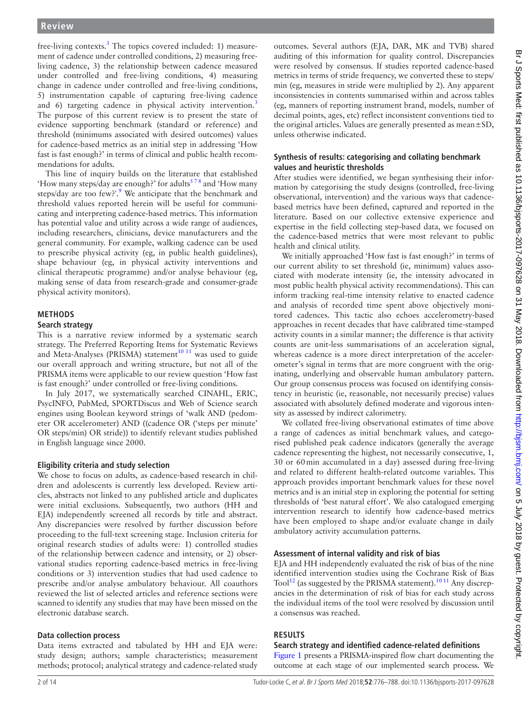free-living contexts.<sup>3</sup> The topics covered included: 1) measurement of cadence under controlled conditions, 2) measuring freeliving cadence, 3) the relationship between cadence measured under controlled and free-living conditions, 4) measuring change in cadence under controlled and free-living conditions, 5) instrumentation capable of capturing free-living cadence and 6) targeting cadence in physical activity intervention.<sup>[3](#page-12-1)</sup> The purpose of this current review is to present the state of evidence supporting benchmark (standard or reference) and threshold (minimums associated with desired outcomes) values for cadence-based metrics as an initial step in addressing 'How fast is fast enough?' in terms of clinical and public health recommendations for adults.

This line of inquiry builds on the literature that established 'How many steps/day are enough?' for adults<sup>578</sup> and 'How many steps/day are too few?'.<sup>[9](#page-12-5)</sup> We anticipate that the benchmark and threshold values reported herein will be useful for communicating and interpreting cadence-based metrics. This information has potential value and utility across a wide range of audiences, including researchers, clinicians, device manufacturers and the general community. For example, walking cadence can be used to prescribe physical activity (eg, in public health guidelines), shape behaviour (eg, in physical activity interventions and clinical therapeutic programme) and/or analyse behaviour (eg, making sense of data from research-grade and consumer-grade physical activity monitors).

# **Methods**

### **Search strategy**

This is a narrative review informed by a systematic search strategy. The Preferred Reporting Items for Systematic Reviews and Meta-Analyses (PRISMA) statement<sup>10 11</sup> was used to guide our overall approach and writing structure, but not all of the PRISMA items were applicable to our review question 'How fast is fast enough?' under controlled or free-living conditions.

In July 2017, we systematically searched CINAHL, ERIC, PsycINFO, PubMed, SPORTDiscus and Web of Science search engines using Boolean keyword strings of 'walk AND (pedometer OR accelerometer) AND ((cadence OR ('steps per minute' OR steps/min) OR stride)) to identify relevant studies published in English language since 2000.

### **Eligibility criteria and study selection**

We chose to focus on adults, as cadence-based research in children and adolescents is currently less developed. Review articles, abstracts not linked to any published article and duplicates were initial exclusions. Subsequently, two authors (HH and EJA) independently screened all records by title and abstract. Any discrepancies were resolved by further discussion before proceeding to the full-text screening stage. Inclusion criteria for original research studies of adults were: 1) controlled studies of the relationship between cadence and intensity, or 2) observational studies reporting cadence-based metrics in free-living conditions or 3) intervention studies that had used cadence to prescribe and/or analyse ambulatory behaviour. All coauthors reviewed the list of selected articles and reference sections were scanned to identify any studies that may have been missed on the electronic database search.

### **Data collection process**

Data items extracted and tabulated by HH and EJA were: study design; authors; sample characteristics; measurement methods; protocol; analytical strategy and cadence-related study

outcomes. Several authors (EJA, DAR, MK and TVB) shared auditing of this information for quality control. Discrepancies were resolved by consensus. If studies reported cadence-based metrics in terms of stride frequency, we converted these to steps/ min (eg, measures in stride were multiplied by 2). Any apparent inconsistencies in contents summarised within and across tables (eg, manners of reporting instrument brand, models, number of decimal points, ages, etc) reflect inconsistent conventions tied to the original articles. Values are generally presented as mean $\pm$ SD, unless otherwise indicated.

### **Synthesis of results: categorising and collating benchmark values and heuristic thresholds**

After studies were identified, we began synthesising their information by categorising the study designs (controlled, free-living observational, intervention) and the various ways that cadencebased metrics have been defined, captured and reported in the literature. Based on our collective extensive experience and expertise in the field collecting step-based data, we focused on the cadence-based metrics that were most relevant to public health and clinical utility.

We initially approached 'How fast is fast enough?' in terms of our current ability to set threshold (ie, minimum) values associated with moderate intensity (ie, the intensity advocated in most public health physical activity recommendations). This can inform tracking real-time intensity relative to enacted cadence and analysis of recorded time spent above objectively monitored cadences. This tactic also echoes accelerometry-based approaches in recent decades that have calibrated time-stamped activity counts in a similar manner; the difference is that activity counts are unit-less summarisations of an acceleration signal, whereas cadence is a more direct interpretation of the accelerometer's signal in terms that are more congruent with the originating, underlying and observable human ambulatory pattern. Our group consensus process was focused on identifying consistency in heuristic (ie, reasonable, not necessarily precise) values associated with absolutely defined moderate and vigorous intensity as assessed by indirect calorimetry.

We collated free-living observational estimates of time above a range of cadences as initial benchmark values, and categorised published peak cadence indicators (generally the average cadence representing the highest, not necessarily consecutive, 1, 30 or 60min accumulated in a day) assessed during free-living and related to different health-related outcome variables. This approach provides important benchmark values for these novel metrics and is an initial step in exploring the potential for setting thresholds of 'best natural effort'. We also catalogued emerging intervention research to identify how cadence-based metrics have been employed to shape and/or evaluate change in daily ambulatory activity accumulation patterns.

### **Assessment of internal validity and risk of bias**

EJA and HH independently evaluated the risk of bias of the nine identified intervention studies using the Cochrane Risk of Bias Tool<sup>12</sup> (as suggested by the PRISMA statement).<sup>10 11</sup> Any discrepancies in the determination of risk of bias for each study across the individual items of the tool were resolved by discussion until a consensus was reached.

### **Results**

### **Search strategy and identified cadence-related definitions**

[Figure](#page-2-0) 1 presents a PRISMA-inspired flow chart documenting the outcome at each stage of our implemented search process. We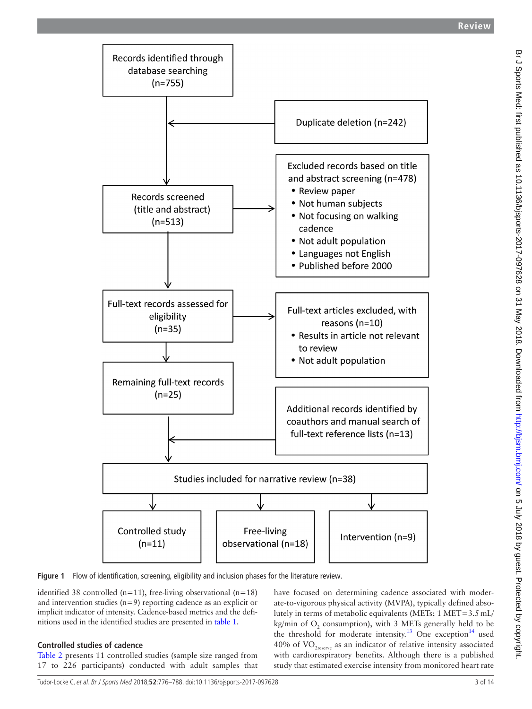

**Figure 1** Flow of identification, screening, eligibility and inclusion phases for the literature review.

identified 38 controlled (n=11), free-living observational (n=18) and intervention studies (n=9) reporting cadence as an explicit or implicit indicator of intensity. Cadence-based metrics and the definitions used in the identified studies are presented in [table](#page-3-0) 1.

# **Controlled studies of cadence**

[Table](#page-4-0) 2 presents 11 controlled studies (sample size ranged from 17 to 226 participants) conducted with adult samples that

<span id="page-2-0"></span>have focused on determining cadence associated with moderate-to-vigorous physical activity (MVPA), typically defined absolutely in terms of metabolic equivalents (METs; 1 MET=3.5mL/ kg/min of  $O_2$  consumption), with 3 METs generally held to be the threshold for moderate intensity.<sup>13</sup> One exception<sup>[14](#page-12-9)</sup> used 40% of VO2reserve as an indicator of relative intensity associated with cardiorespiratory benefits. Although there is a published study that estimated exercise intensity from monitored heart rate

Br J Sports Med: first published as 10.1136/bjsports-2017-097628 on 31 May 2018. Downloaded from http://bjsm.bmj.com/ on 5 July 2018 by guest. Protected by copyright Br J Sports Med: first published as 10.1136/bjsports-2017-097628 on 31 May 2018. Downloaded from Antp://bjsm.bmj.com/ on 5 July 2018 by guest. Protected by copyright.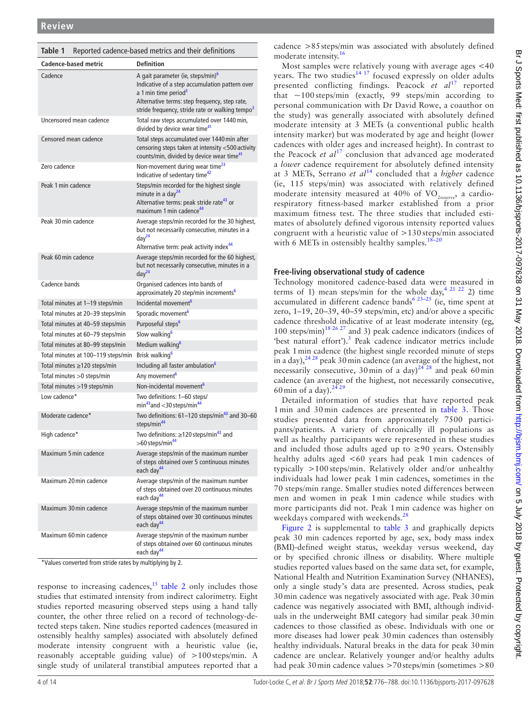<span id="page-3-0"></span>

| Table 1                            | Reported cadence-based metrics and their definitions                                                                                                                                                                                                |
|------------------------------------|-----------------------------------------------------------------------------------------------------------------------------------------------------------------------------------------------------------------------------------------------------|
| <b>Cadence-based metric</b>        | <b>Definition</b>                                                                                                                                                                                                                                   |
| Cadence                            | A gait parameter (ie, steps/min) <sup>6</sup><br>Indicative of a step accumulation pattern over<br>a 1 min time period <sup>3</sup><br>Alternative terms: step frequency, step rate,<br>stride frequency, stride rate or walking tempo <sup>3</sup> |
| Uncensored mean cadence            | Total raw steps accumulated over 1440 min,<br>divided by device wear time <sup>41</sup>                                                                                                                                                             |
| Censored mean cadence              | Total steps accumulated over 1440 min after<br>censoring steps taken at intensity <500 activity<br>counts/min, divided by device wear time <sup>41</sup>                                                                                            |
| Zero cadence                       | Non-movement during wear time <sup>23</sup><br>Indicative of sedentary time <sup>42</sup>                                                                                                                                                           |
| Peak 1 min cadence                 | Steps/min recorded for the highest single<br>minute in a day <sup>24</sup><br>Alternative terms: peak stride rate <sup>43</sup> or<br>maximum 1 min cadence <sup>44</sup>                                                                           |
| Peak 30 min cadence                | Average steps/min recorded for the 30 highest,<br>but not necessarily consecutive, minutes in a<br>$day^{24}$<br>Alternative term: peak activity index <sup>44</sup>                                                                                |
| Peak 60 min cadence                | Average steps/min recorded for the 60 highest,<br>but not necessarily consecutive, minutes in a<br>day <sup>24</sup>                                                                                                                                |
| Cadence bands                      | Organised cadences into bands of<br>approximately 20 step/min increments <sup>6</sup>                                                                                                                                                               |
| Total minutes at 1-19 steps/min    | Incidental movement <sup>6</sup>                                                                                                                                                                                                                    |
| Total minutes at 20-39 steps/min   | Sporadic movement <sup>6</sup>                                                                                                                                                                                                                      |
| Total minutes at 40-59 steps/min   | Purposeful steps <sup>6</sup>                                                                                                                                                                                                                       |
| Total minutes at 60-79 steps/min   | Slow walking <sup>6</sup>                                                                                                                                                                                                                           |
| Total minutes at 80-99 steps/min   | Medium walking <sup>6</sup>                                                                                                                                                                                                                         |
| Total minutes at 100-119 steps/min | Brisk walking <sup>6</sup>                                                                                                                                                                                                                          |
| Total minutes $\geq$ 120 steps/min | Including all faster ambulation <sup>6</sup>                                                                                                                                                                                                        |
| Total minutes > 0 steps/min        | Any movement <sup>6</sup>                                                                                                                                                                                                                           |
| Total minutes >19 steps/min        | Non-incidental movement <sup>6</sup>                                                                                                                                                                                                                |
| l ow cadence*                      | Two definitions: 1-60 steps/<br>min <sup>43</sup> and <30 steps/min <sup>44</sup>                                                                                                                                                                   |
| Moderate cadence*                  | Two definitions: 61-120 steps/min <sup>43</sup> and 30-60<br>steps/min <sup>44</sup>                                                                                                                                                                |
| High cadence*                      | Two definitions: ≥120 steps/min <sup>43</sup> and<br>>60 steps/min <sup>44</sup>                                                                                                                                                                    |
| Maximum 5 min cadence              | Average steps/min of the maximum number<br>of steps obtained over 5 continuous minutes<br>each day <sup>44</sup>                                                                                                                                    |
| Maximum 20 min cadence             | Average steps/min of the maximum number<br>of steps obtained over 20 continuous minutes<br>each day <sup>44</sup>                                                                                                                                   |
| Maximum 30 min cadence             | Average steps/min of the maximum number<br>of steps obtained over 30 continuous minutes<br>each day <sup>44</sup>                                                                                                                                   |
| Maximum 60 min cadence             | Average steps/min of the maximum number<br>of steps obtained over 60 continuous minutes<br>each day <sup>44</sup>                                                                                                                                   |

\*Values converted from stride rates by multiplying by 2.

response to increasing cadences, $15$  [table](#page-4-0) 2 only includes those studies that estimated intensity from indirect calorimetry. Eight studies reported measuring observed steps using a hand tally counter, the other three relied on a record of technology-detected steps taken. Nine studies reported cadences (measured in ostensibly healthy samples) associated with absolutely defined moderate intensity congruent with a heuristic value (ie, reasonably acceptable guiding value) of >100steps/min. A single study of unilateral transtibial amputees reported that a

cadence >85steps/min was associated with absolutely defined moderate intensity. [16](#page-12-11)

Most samples were relatively young with average ages <40 years. The two studies $14 \frac{17}{7}$  focused expressly on older adults presented conflicting findings. Peacock *et al*<sup>17</sup> reported that  $\sim$ 100 steps/min (exactly, 99 steps/min according to personal communication with Dr David Rowe, a coauthor on the study) was generally associated with absolutely defined moderate intensity at 3 METs (a conventional public health intensity marker) but was moderated by age and height (lower cadences with older ages and increased height). In contrast to the Peacock *et al*<sup>[17](#page-12-12)</sup> conclusion that advanced age moderated a *lower* cadence requirement for absolutely defined intensity at 3 METs, Serrano *et al*[14](#page-12-9) concluded that a *higher* cadence (ie, 115 steps/min) was associated with relatively defined moderate intensity measured at 40% of  $VO_{2reserve}$ , a cardiorespiratory fitness-based marker established from a prior maximum fitness test. The three studies that included estimates of absolutely defined vigorous intensity reported values congruent with a heuristic value of >130 steps/min associated with 6 METs in ostensibly healthy samples.  $18-20$ 

### **Free-living observational study of cadence**

Technology monitored cadence-based data were measured in terms of 1) mean steps/min for the whole day,<sup>4 21 22</sup> 2) time accumulated in different cadence bands<sup>6 23-25</sup> (ie, time spent at zero, 1–19, 20–39, 40–59 steps/min, etc) and/or above a specific cadence threshold indicative of at least moderate intensity (eg, 100 steps/min)[18 26 27](#page-12-13) and 3) peak cadence indicators (indices of 'best natural effort').<sup>[3](#page-12-1)</sup> Peak cadence indicator metrics include peak 1min cadence (the highest single recorded minute of steps in a day),  $2428$  peak 30 min cadence (an average of the highest, not necessarily consecutive, 30 min of a day)<sup>24 28</sup> and peak 60 min cadence (an average of the highest, not necessarily consecutive, 60 min of a day).  $24.29$ 

Detailed information of studies that have reported peak 1 min and 30 min cadences are presented in [table](#page-6-0) 3. Those studies presented data from approximately 7500 participants/patients. A variety of chronically ill populations as well as healthy participants were represented in these studies and included those adults aged up to  $\geq 90$  years. Ostensibly healthy adults aged <60 years had peak 1 min cadences of typically >100 steps/min. Relatively older and/or unhealthy individuals had lower peak 1 min cadences, sometimes in the 70 steps/min range. Smaller studies noted differences between men and women in peak 1 min cadence while studies with more participants did not. Peak 1 min cadence was higher on weekdays compared with weekends.<sup>[28](#page-12-15)</sup>

[Figure](#page-8-0) 2 is supplemental to [table](#page-6-0) 3 and graphically depicts peak 30 min cadences reported by age, sex, body mass index (BMI)-defined weight status, weekday versus weekend, day or by specified chronic illness or disability. Where multiple studies reported values based on the same data set, for example, National Health and Nutrition Examination Survey (NHANES), only a single study's data are presented. Across studies, peak 30min cadence was negatively associated with age. Peak 30min cadence was negatively associated with BMI, although individuals in the underweight BMI category had similar peak 30min cadences to those classified as obese. Individuals with one or more diseases had lower peak 30min cadences than ostensibly healthy individuals. Natural breaks in the data for peak 30min cadence are unclear. Relatively younger and/or healthy adults had peak 30min cadence values >70steps/min (sometimes >80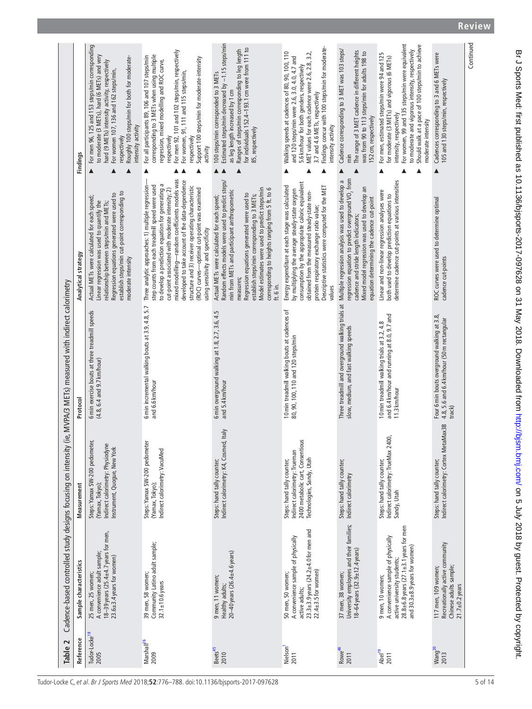<span id="page-4-0"></span>

|                                                              | Findings               | For men 96, 125 and 153 steps/min corresponding<br>to moderate (3 METs), hard (6 METs) and very<br>Roughly 100 steps/min for both for moderate-<br>hard (9 METs) intensity activity, respectively<br>For women 107, 136 and 162 steps/min,<br>intensity activity<br>respectively | For men 92, 101 and 102 steps/min, respectively<br>corresponding to 3 METs when using multiple<br>For all participants 89, 106 and 107 steps/min<br>Support 100 steps/min for moderate-intensity<br>regression, mixed modelling and ROC curve,<br>For women, 91, 111 and 115 steps/min,<br>respectively<br>respectively<br>activity<br>▲<br>▲<br>▲                                                                                                                  | Estimated steps/min decreased by -1.15 steps/min<br>for individuals 152.4-193.1 cm were from 111 to<br>Ranges of steps/min corresponding to leg length<br>100 steps/min corresponded to 3 METs<br>as leg length increased by 1 cm<br>85, respectively<br>$\blacktriangle$                                                                                                       | Findings concur with 100 steps/min for moderate-<br>Walking speeds at cadences of 80, 90, 100, 110<br>MET values for each cadence were 2.6, 2.8, 3.2,<br>and 120 steps/min were 2.6, 3.0, 4.0, 4.7 and<br>5.6 km/hour for both genders, respectively<br>3.7 and 4.6 METs, respectively<br>intensity activity<br>▲<br>▴<br>▲ | Cadence corresponding to 3 MET was 103 steps/<br>The range of 3 MET cadence in different heights<br>was from 90 to 113 steps/min for adults 198 to<br>152 cm, respectively<br>min<br>Δ                                                                       | For women, 99 and 135 steps/min were equivalent<br>Should walk at a pace of 100 steps/min to achieve<br>to moderate and vigorous intensity, respectively<br>For men, estimated steps/min were 94 and 125<br>for moderate (3 METs) and vigorous (6 METs)<br>intensity, respectively<br>moderate intensity<br>▲ | Continued<br>Cadences corresponding to 3 and 6 METs were<br>105 and 130 steps/min, respectively          |
|--------------------------------------------------------------|------------------------|----------------------------------------------------------------------------------------------------------------------------------------------------------------------------------------------------------------------------------------------------------------------------------|---------------------------------------------------------------------------------------------------------------------------------------------------------------------------------------------------------------------------------------------------------------------------------------------------------------------------------------------------------------------------------------------------------------------------------------------------------------------|---------------------------------------------------------------------------------------------------------------------------------------------------------------------------------------------------------------------------------------------------------------------------------------------------------------------------------------------------------------------------------|-----------------------------------------------------------------------------------------------------------------------------------------------------------------------------------------------------------------------------------------------------------------------------------------------------------------------------|--------------------------------------------------------------------------------------------------------------------------------------------------------------------------------------------------------------------------------------------------------------|---------------------------------------------------------------------------------------------------------------------------------------------------------------------------------------------------------------------------------------------------------------------------------------------------------------|----------------------------------------------------------------------------------------------------------|
|                                                              | Analytical strategy    | establish steps/min cut-point corresponding to<br>S,<br>Actual METs were calculated for each speed;<br>Regression equations generated were used<br>Linear regression was used to quantify the<br>relationship between steps/min and METs;<br>moderate intensity                  | mixed modelling-random coefficients models was<br>developed to take account of the data-dependence<br>to develop a prediction equation for generating a<br>Three analytic approaches: 1) multiple regression-<br>step counts from each treadmill speed were used<br>structure and 3) receiver operating characteristic<br>-optimal cut-point was examined<br>cut-point associated with moderate intensity; 2)<br>using sensitivity and specificity<br>(ROC) curves- | Random effects models were used to predict steps/<br>Model estimates were used to predict steps/min<br>corresponding to heights ranging from 5 ft. to 6<br>min from METs and participant anthropometric<br>Regression equations generated were used to<br>establish steps/min corresponding to 3 METs;<br>Actual METs were calculated for each speed;<br>measures;<br>ft. 6 in. | consumption by the appropriate caloric equivalent<br>Energy expenditure at each stage was calculated<br>Descriptive statistics were computed for the MET<br>by multiplying the average steady-state oxygen<br>obtained from the measured steady-state non-<br>protein respiratory exchange ratio value;<br>values           | regression equation to predict overground VO <sub>2</sub> from<br>Multiple regression analysis was used to develop a<br>Mixed model regression was used to develop an<br>equation determining the cadence cut-point<br>cadence and stride length indicators; | determine cadence cut-points at various intensities<br>Linear and non-linear regression analyses were<br>both used to develop prediction equations to                                                                                                                                                         | ROC curves were used to determine optimal<br>cadence cut-points                                          |
| (ie, MVPA/3 METs) measured with indirect calorimetry         | Protocol               | 6 min exercise bouts at three treadmill speeds<br>$(4.8, 6.4$ and $9.7$ km/hour)                                                                                                                                                                                                 | 6 min incremental walking bouts at 3.9, 4.8, 5.7<br>and 6.6 km/hour                                                                                                                                                                                                                                                                                                                                                                                                 | 6 min overground walking at 1.8, 2.7, 3.6, 4.5<br>and 5.4 km/hour                                                                                                                                                                                                                                                                                                               | 10 min treadmill walking bouts at cadences of<br>80, 90, 100, 110 and 120 steps/min                                                                                                                                                                                                                                         | Three treadmill and overground walking trials at<br>slow, medium, and fast walking speeds                                                                                                                                                                    | and 6.4 km/hour and running at 8.0, 9.7 and<br>10 min treadmill walking trials at 3.2, 4.8<br>11.3 km/hour                                                                                                                                                                                                    | Four 6 min bouts overground walking at 3.8,<br>4.8, 5.6 and 6.4 km/hour (50 m rectangular<br>track)      |
|                                                              | Measurement            | Steps: Yamax SW-200 pedometer,<br>Indirect calorimetry: Physiodyne<br>Instrument, Quogue, New York<br>(Yamax, Tokyo);                                                                                                                                                            | Steps: Yamax SW-200 pedometer<br>Indirect calorimetry: VacuMed<br>(Yamax, Tokyo);                                                                                                                                                                                                                                                                                                                                                                                   | Indirect calorimetry: K4, Cosmed, Italy<br>Steps: hand tally counter;                                                                                                                                                                                                                                                                                                           | 5<br>2400 metabolic cart, Consentiou<br>Indirect calorimetry: Trueman<br>Technologies, Sandy, Utah<br>Steps: hand tally counter;                                                                                                                                                                                            | Steps: hand tally counter;<br>Indirect calorimetry                                                                                                                                                                                                           | $\overline{5}$<br>Indirect calorimetry: TrueMax 24<br>Sandy, Utah<br>Steps: hand tally counter;                                                                                                                                                                                                               | Steps: hand tally counter;<br>Indirect calorimetry: Cortex MetaMax3B                                     |
| Cadence-based controlled study designs focusing on intensity | Sample characteristics | 18-39 years (25.4 $\pm$ 4.7 years for men,<br>A convenience adult sample;<br>$23.6 \pm 3.4$ years for women)<br>25 men, 25 women                                                                                                                                                 | Community Latino adult sample;<br>39 men, 58 women;<br>$32.1 \pm 10.6$ years                                                                                                                                                                                                                                                                                                                                                                                        | $20 - 40$ years (26.4 $\pm$ 4.6 years)<br>9 men, 11 women;<br>Healthy adults;                                                                                                                                                                                                                                                                                                   | $23.3 \pm 3.9$ years (24.2 $\pm$ 4.0 for men and<br>A convenience sample of physically<br>$22.4 \pm 3.5$ for women)<br>50 men, 50 women;<br>active adults;                                                                                                                                                                  | University employees and their families;<br>18-64 years (32.9±12.4 years)<br>37 men, 38 women;                                                                                                                                                               | $28.8\pm6.8$ years $(27.1\pm3.1)$ years for men<br>A convenience sample of physically<br>and 30.3±8.9 years for women)<br>active university students;<br>9 men, 10 women;                                                                                                                                     | Recreationally active community<br>Chinese adults sample;<br>117 men, 109 women;<br>$21.7 \pm 0.2$ years |
| Table 2                                                      | Reference              | Tudor-Locke <sup>18</sup><br>2005                                                                                                                                                                                                                                                | Marshall <sup>26</sup><br>2009                                                                                                                                                                                                                                                                                                                                                                                                                                      | Beets <sup>45</sup><br>2010                                                                                                                                                                                                                                                                                                                                                     | Nielson <sup>1</sup><br>2011                                                                                                                                                                                                                                                                                                | Rowe <sup>46</sup><br>2011                                                                                                                                                                                                                                   | Abel <sup>19</sup><br>2011                                                                                                                                                                                                                                                                                    | $Wang20$<br>2013                                                                                         |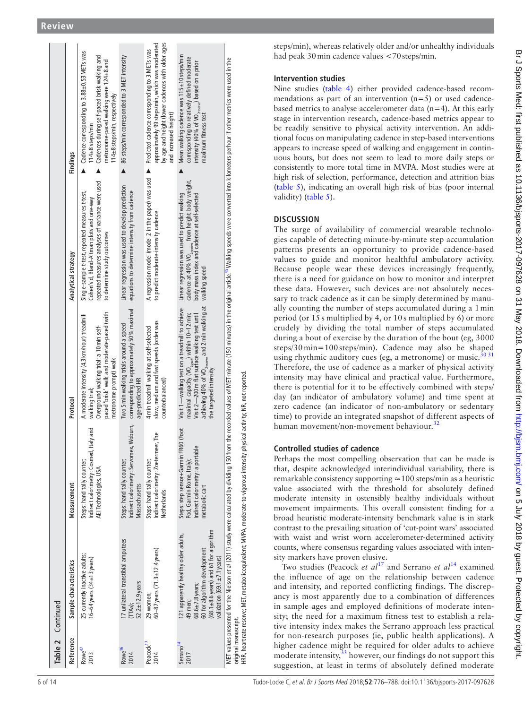| Table 2 Continued             |                                                                                                                                                                                                                                      |                                                                                                                         |                                                                                                                                                                                                                                                     |                                                                                                                                                                                                     |                                                                                                                                                                                                 |
|-------------------------------|--------------------------------------------------------------------------------------------------------------------------------------------------------------------------------------------------------------------------------------|-------------------------------------------------------------------------------------------------------------------------|-----------------------------------------------------------------------------------------------------------------------------------------------------------------------------------------------------------------------------------------------------|-----------------------------------------------------------------------------------------------------------------------------------------------------------------------------------------------------|-------------------------------------------------------------------------------------------------------------------------------------------------------------------------------------------------|
| Reference                     | Sample characteristics                                                                                                                                                                                                               | Measurement                                                                                                             | Protocol                                                                                                                                                                                                                                            | Analytical strategy                                                                                                                                                                                 | Findings                                                                                                                                                                                        |
| Rowe <sup>47</sup><br>2013    | 25 currently inactive adults;<br>16-64 years $(34\pm13)$ years)                                                                                                                                                                      | Indirect calorimetry: Cosmed, Italy and<br>Steps: hand tally counter;<br>AEI Technologies, USA                          | paced 'brisk' walk and moderate-paced (with<br>A moderate intensity (4.3 km/hour) treadmill<br>Overground walking trial: a 10 min self-<br>metronome prompt) walk<br>walking trial;                                                                 | $\blacktriangle$<br>repeated measures analyses of variance were used<br>Single-sample t-test, repeated measures t-test,<br>Cohen's d, Bland-Altman plots and one-way<br>to determine study outcomes | ► Cadence corresponding to 3.88±0.53 METs was<br>Cadences during self-paced brisk walking and<br>metronome-paced walking were 124±8 and<br>114±8 steps/min, respectively<br>$114\pm8$ steps/min |
| Rowe <sup>16</sup><br>2014    | 17 unilateral transtibial amputees<br>$52.2 \pm 12.9$ years<br>(TTAs);                                                                                                                                                               | Woburn,<br>Indirect calorimetry: Servomex,<br>Steps: hand tally counter;<br>Massachusetts                               | corresponding to approximately 50% maximal<br>Two 5 min walking trials around a speed<br>age-predicted HR                                                                                                                                           | Linear regression was used to develop prediction<br>equations to determine intensity from cadence                                                                                                   | 86 steps/min corresponded to 3 MET intensity                                                                                                                                                    |
| Peacock <sup>17</sup><br>2014 | $60 - 87$ years $(71.3 \pm 12.4$ years)<br>29 women;                                                                                                                                                                                 | The<br>Indirect calorimetry: Zoetermeer,<br>Steps: hand tally counter;<br>Netherlands                                   | slow, medium and fast speeds (order was<br>4 min treadmill walking at self-selected<br>counterbalanced)                                                                                                                                             | A regression model (model 2 in the paper) was used $\blacktriangleright$ Predicted cadence corresponding to 3 METs was<br>to predict moderate-intensity cadence                                     | by age and height (lower cadences with older ages<br>approximately 99 steps/min, which was moderated<br>and increased height)                                                                   |
| Serrano <sup>14</sup><br>2017 | $(68.1 \pm 8.6$ years) and 61 for algorithm<br>121 apparently healthy older adults,<br>60 for algorithm development<br>validation (69.1 $\pm$ 7.1 years)<br>$68.6 \pm 7.8$ years;<br>49 men;                                         | Steps: step sensor+Garmin FR60 (Foot<br>Indirect calorimetry: a portable<br>Pod, Garmin Rome, Italy);<br>metabolic cart | achieving 40% of VO <sub>2essove</sub> and 2 min walking at<br>Visit 1—walking test on a treadmill to achieve<br>maximal capacity (VO <sub>2004)</sub> within 10-12 min;<br>Visit 2—200 m flat surface walking test until<br>the targeted intensity | cadence at 40% VO $_{2\text{recon}}$ from height, body weight,<br>Linear regression was used to predict walking<br>body mass index and cadence at self-selected<br>walking speed                    | Mean walking cadence was 115±10 steps/min<br>corresponding to relatively defined moderate<br>intensity (40% of VO $_{2$ <sub>reserv</sub> e) based on a prior<br>maximum fitness test           |
| original manuscript.          | HRR, heartrate reserve; MET, metabolic equivalent; MVPA, moderate-to-vigorous intensity physical activity; NR, not reported.<br>MET values presented for the Nielson e <i>t al (2011)</i> study were calculated by dividing 150 from |                                                                                                                         |                                                                                                                                                                                                                                                     | the recorded values of MET-minute (150 minutes) in the original article. <sup>45</sup> Walking speeds were converted into kilometers perhour if other metrics were used in the                      |                                                                                                                                                                                                 |

steps/min), whereas relatively older and/or unhealthy individuals had peak 30min cadence values <70steps/min.

# **Intervention studies**

Nine studies [\(table](#page-9-0) 4) either provided cadence-based recommendations as part of an intervention  $(n=5)$  or used cadencebased metrics to analyse accelerometer data  $(n=4)$ . At this early stage in intervention research, cadence-based metrics appear to be readily sensitive to physical activity intervention. An additional focus on manipulating cadence in step-based interventions appears to increase speed of walking and engagement in continuous bouts, but does not seem to lead to more daily steps or consistently to more total time in MVPA. Most studies were at high risk of selection, performance, detection and attrition bias ([table](#page-11-0) 5), indicating an overall high risk of bias (poor internal validity) ([table](#page-11-0) 5).

# **Discussion**

The surge of availability of commercial wearable technologies capable of detecting minute-by-minute step accumulation patterns presents an opportunity to provide cadence-based values to guide and monitor healthful ambulatory activity. Because people wear these devices increasingly frequently, there is a need for guidance on how to monitor and interpret these data. However, such devices are not absolutely necessary to track cadence as it can be simply determined by manually counting the number of steps accumulated during a 1 min period (or 15 s multiplied by 4, or 10 s multiplied by 6) or more crudely by dividing the total number of steps accumulated during a bout of exercise by the duration of the bout (eg, 3000 steps/30 min=100 steps/min). Cadence may also be shaped using rhythmic auditory cues (eg, a metronome) or music. $3031$ Therefore, the use of cadence as a marker of physical activity intensity may have clinical and practical value. Furthermore, there is potential for it to be effectively combined with steps/ day (an indicator of ambulatory volume) and time spent at zero cadence (an indicator of non-ambulatory or sedentary time) to provide an integrated snapshot of different aspects of human movement/non-movement behaviour.<sup>3</sup>

# **Controlled studies of cadence**

Perhaps the most compelling observation that can be made is that, despite acknowledged interindividual variability, there is remarkable consistency supporting  $\approx$  100 steps/min as a heuristic value associated with the threshold for absolutely defined moderate intensity in ostensibly healthy individuals without movement impairments. This overall consistent finding for a broad heuristic moderate-intensity benchmark value is in stark contrast to the prevailing situation of 'cut-point wars' associated with waist and wrist worn accelerometer-determined activity counts, where consensus regarding values associated with intensity markers have proven elusive.

Two studies (Peacock *et al*<sup>[17](#page-12-12)</sup> and Serrano *et al*<sup>[14](#page-12-9)</sup> examined the influence of age on the relationship between cadence and intensity, and reported conflicting findings. The discrepancy is most apparently due to a combination of differences in sample ages and employed definitions of moderate intensity; the need for a maximum fitness test to establish a relative intensity index makes the Serrano approach less practical for non-research purposes (ie, public health applications). A higher cadence might be required for older adults to achieve moderate intensity,  $33$  however, our findings do not support this suggestion, at least in terms of absolutely defined moderate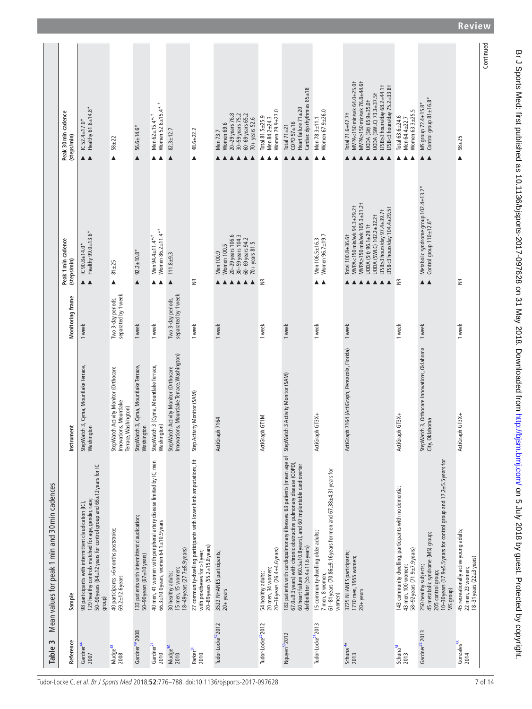<span id="page-6-0"></span>

| w<br><b>Table</b>                  | Mean values for peak 1 min and 30 min cadences                                                                                                                                                                                                                                           |                                                                                         |                                           |                                                                                                                                                                                                                       |                                                                                                                                                                                                                   |
|------------------------------------|------------------------------------------------------------------------------------------------------------------------------------------------------------------------------------------------------------------------------------------------------------------------------------------|-----------------------------------------------------------------------------------------|-------------------------------------------|-----------------------------------------------------------------------------------------------------------------------------------------------------------------------------------------------------------------------|-------------------------------------------------------------------------------------------------------------------------------------------------------------------------------------------------------------------|
| Reference                          | Sample                                                                                                                                                                                                                                                                                   | Instrument                                                                              | Monitoring frame                          | Peak 1 min cadence<br>(steps/min)                                                                                                                                                                                     | Peak 30 min cadence<br>(steps/min)                                                                                                                                                                                |
| Gardner <sup>44</sup><br>2007      | 50-90 years (64±12 years for control group and 66±12 years for IC<br>129 healthy controls matched for age, gender, race;<br>98 participants with intermittent claudication (IC),<br>group)                                                                                               | StepWatch 3, Cyma, Mountlake Terrace,<br>Washington                                     | 1 week                                    | Healthy 99.0±13.6*<br>$IC90.8 + 14.0*$<br>$\blacktriangle$ $\blacktriangle$                                                                                                                                           | Healthy 61.6±14.8*<br>IC 52.4 $\pm$ 17.0*<br>$\triangle$                                                                                                                                                          |
| Mudge <sup>48</sup><br><b>2008</b> | 40 participants >6 months poststroke;<br>$69.2 \pm 12.6$ years                                                                                                                                                                                                                           | StepWatch Activity Monitor (Orthocare<br>Innovations, Mountlake<br>Terrace, Washington) | separated by 1 week<br>Two 3-day periods, | $81 + 25$<br>▲                                                                                                                                                                                                        | $58 + 22$<br>$\blacktriangle$                                                                                                                                                                                     |
| Gardner <sup>49</sup> 2008         | 133 patients with intermittent claudication;<br>$50-90$ years $(67±10$ years)                                                                                                                                                                                                            | StepWatch 3, Cyma, Mountlake Terrace,<br>Washington                                     | 1 week                                    | $92.2 \pm 10.8$ <sup>*</sup><br>▲                                                                                                                                                                                     | $56.6 \pm 14.6*$                                                                                                                                                                                                  |
| Gardner <sup>2</sup><br>2010       | 40 men, 41 women with peripheral artery disease limited by IC; men<br>66.3±10.0 years, women 64.1±10.9 years                                                                                                                                                                             | StepWatch 3 (Cyma, Mountlake Terrace,<br>Washington)                                    | 1 week                                    | Women 86.2±11.4* <sup>†</sup><br>Men 94.4±11.4* <sup>,†</sup><br>▲<br>▲                                                                                                                                               | Women 52.6±15.4* <sup>,†</sup><br>Men $62 \pm 15.4$ <sup>**+</sup><br>▲                                                                                                                                           |
| Mudge <sup>50</sup><br>2010        | $18 - 49$ years $(27.7 + 8.9$ years)<br>15 men, 15 women;<br>30 healthy adults;                                                                                                                                                                                                          | Innovations, Mountlake Terrace, Washington)<br>StepWatch Activity Monitor (Orthocare    | separated by 1 week<br>Two 3-day periods, | $111.8 + 9.3$<br>▲                                                                                                                                                                                                    | $82.3 \pm 12.7$                                                                                                                                                                                                   |
| Parker <sup>51</sup><br>2010       | 27 community-dwelling participants with lower limb amputations, fit<br>$20 - 89$ years $(55.2 \pm 15.8$ years)<br>with prostheses for >1 year;                                                                                                                                           | Step Activity Monitor (SAM)                                                             | 1 week                                    | $\widetilde{\Xi}$                                                                                                                                                                                                     | 48.6±22.2<br>▲                                                                                                                                                                                                    |
| Tudor-Locke <sup>52</sup> 2012     | 3522 NHANES participants;<br>20+ years                                                                                                                                                                                                                                                   | ActiGraph 7164                                                                          | 1 week                                    | 20-29 years 106.6<br>30-59 years 104.3<br>60-69 years 94.2<br>$70+$ years 81.5<br>Women 100.5<br>Men 100.9<br>$\blacktriangle$                                                                                        | 20-29 years 76.8<br>30-59 years 75.2<br>60-69 years 65.2<br>$70+$ years 52.6<br>Women 69.6<br>Men 73.7                                                                                                            |
| Tudor-Locke <sup>25</sup> 2012     | $20 - 36$ years $(26.4 \pm 4.6$ years)<br>20 men, 34 women;<br>54 healthy adults;                                                                                                                                                                                                        | ActiGraph GT1M                                                                          | 1 week                                    | ž                                                                                                                                                                                                                     | Women 79.9±27.0<br>Total 81.5±25.9<br>Men 84.2±24.3                                                                                                                                                               |
| Nguyen <sup>53</sup> 2012          | 183 patients with cardiopulmonary illnesses: 63 patients (mean age of StepWatch 3 Activity Monitor (SAM)<br>67.0±9.3 years) with chronic obstructive pulmonary disease (COPD),<br>60 heart failure (60.5±10.8 years), and 60 implantable cardioverter<br>defibrillator (55.4±11.6 years) |                                                                                         | 1 week                                    |                                                                                                                                                                                                                       | Cardiac dysrhythmias 85±18<br>Heart failure 71±20<br>COPD $57\pm16$<br>Total $71 \pm 21$                                                                                                                          |
| Tudor-Locke <sup>23</sup> 2013     | $61-81$ years (70.86±9.16 years for men and $67.38\pm4.31$ years for<br>15 community-dwelling older adults;<br>7 men, 8 women;<br>women)                                                                                                                                                 | ActiGraph GT3X+                                                                         | 1 week                                    | Women 96.7±19.7<br>Men 106.5±16.3<br>$\blacktriangle$ $\blacktriangle$                                                                                                                                                | Women 67.9±26.0<br>Men 78.3±11.1                                                                                                                                                                                  |
| Schuna <sup>4*</sup><br>2013       | 3725 NHANES participants;<br>1770 men, 1955 women;<br>$20 + years$                                                                                                                                                                                                                       | ActiGraph 7164 (ActiGraph, Pensacola, Florida)                                          | 1 week                                    | MVPA≥150 min/wk 105.3±31.21<br>MVPA<150 min/wk 94.3±29.21<br>LTSB<3 hours/day 104.4±29.5†<br>LTSB≥3 hours/day 97.4±39.7+<br>UODA (SWLC) 102.2±32.21<br>UODA (Sit) 96.1±29.1†<br>Total 100.8±36.6†<br>$\blacktriangle$ | MVPA≥150 min/wk 76.8±44.61<br>MVPA<150 min/wk 64.0±25.0t<br>LTSB $\geq$ 3 hours/day 68.2 $\pm$ 44.11<br>LTSB<3 hours/day $75.2 \pm 33.8$ t<br>UODA (SWLC) 73.3±37.5†<br>UODA (Sit) 65.9±35.0+<br>Total 71.6±42.7† |
| Schuna <sup>54</sup><br>2013       | 143 community-dwelling, participants with no dementia;<br>58-92 years (71.9±7.9 years)<br>43 men, 100 women;                                                                                                                                                                             | ActiGraph GT3X+                                                                         | 1 week                                    | ã                                                                                                                                                                                                                     | Women 63.3±25.5<br>Total 63.6±24.6<br>Men 64.4±22.7                                                                                                                                                               |
| Gardner <sup>22</sup> 2013         | 10-30 years (17.9±5.5 years for control group and 17.2±5.5 years for<br>45 metabolic syndrome (MS) group;<br>250 healthy subjects;<br>205 control group;<br>MS group)                                                                                                                    | StepWatch 3, Orthocare Innovations, Oklahoma<br>City, Oklahoma                          | 1 week                                    | Metabolic syndrome group 102.4±13.2*<br>Control group 110±12.6*<br>▲▲                                                                                                                                                 | Control group $81 \pm 16.8$ *<br>MS group 72.4±15.8*                                                                                                                                                              |
| Gonzales <sup>55</sup><br>2014     | 45 recreationally active young adults;<br>$18-31$ years $(22\pm 3)$ years)<br>22 men, 23 women;                                                                                                                                                                                          | ActiGraph GT3X+                                                                         | 1 week                                    | E                                                                                                                                                                                                                     | Continued<br>$98 + 25$<br>▲                                                                                                                                                                                       |
|                                    |                                                                                                                                                                                                                                                                                          |                                                                                         |                                           |                                                                                                                                                                                                                       |                                                                                                                                                                                                                   |

Br J Sports Med: first published as 10.1136/bjsports-2017-097628 on 31 May 2018. Downloaded from http://bjsm.bmj.com/ on 5 July 2018 by guest. Protected by copyright. Br J Sports Med: first published as 10.1136/bjsports-2017-097628 on 31 May 2018. Downloaded from Antp://bjsm.bmj.com/ on 5 July 2018 by guest. Protected by copyright.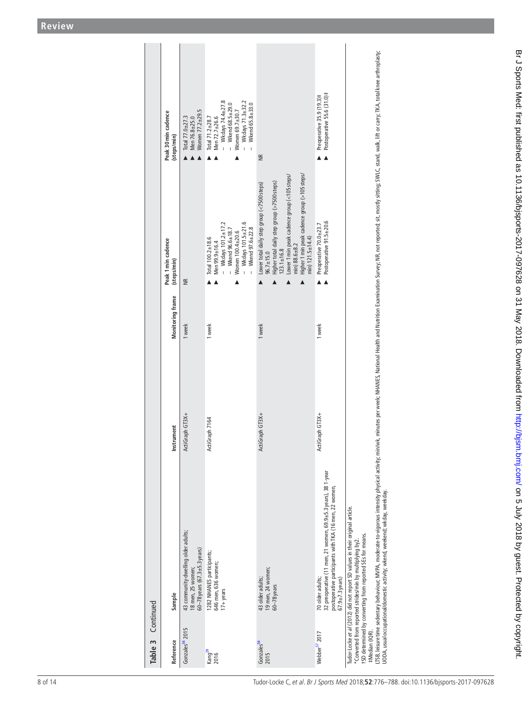| Continued<br>Table 3           |                                                                                                                                                                                                                                                                                                                                                                                                |                 |                  |                                                                                                                                                                                                                                                                       |                                                                                                                                             |
|--------------------------------|------------------------------------------------------------------------------------------------------------------------------------------------------------------------------------------------------------------------------------------------------------------------------------------------------------------------------------------------------------------------------------------------|-----------------|------------------|-----------------------------------------------------------------------------------------------------------------------------------------------------------------------------------------------------------------------------------------------------------------------|---------------------------------------------------------------------------------------------------------------------------------------------|
| Reference                      | Sample                                                                                                                                                                                                                                                                                                                                                                                         | Instrument      | Monitoring frame | Peak 1 min cadence<br>(steps/min)                                                                                                                                                                                                                                     | Peak 30 min cadence<br>(steps/min)                                                                                                          |
| Gonzales <sup>56</sup> 2015    | 43 community-dwelling older adults;<br>60-78 years (67.3 $\pm$ 5.3 years)<br>18 men, 25 women;                                                                                                                                                                                                                                                                                                 | ActiGraph GT3X+ | 1 week           | $\frac{R}{R}$                                                                                                                                                                                                                                                         | Women 77.2±29.5<br>Men 76.8±25.0<br>Total 77.0±27.3                                                                                         |
| Kang <sup>28</sup><br>2016     | 1282 NHANES participants;<br>646 men, 636 women;<br>$17 + years$                                                                                                                                                                                                                                                                                                                               | ActiGraph 7164  | 1 week           | $-Wk$ days 101.5 $\pm$ 21.6<br>$-$ Wkdays 101.2 $\pm$ 17.2<br>Wkend 97.6±22.8<br>$-Wkend 96.6 \pm 18.7$<br>Women 100.4±20.6<br>Total 100.2±18.6<br>Men 99.9±16.4                                                                                                      | $-Wk$ days 74.4 $\pm$ 27.8<br>Wkdays 71.3±32.2<br>Wkend 68.5±29.0<br>Wkend 65.8±33.0<br>Women 69.7±30.7<br>Men 72.7±26.6<br>Total 71.2±28.7 |
| Gonzales <sup>56</sup><br>2015 | 19 men, 24 women;<br>43 older adults;<br>$60 - 78$ years                                                                                                                                                                                                                                                                                                                                       | ActiGraph GT3X+ | 1 week           | Higher 1 min peak cadence group (>105 steps/<br>min) 121 .5±14.4)<br>Lower 1 min peak cadence group (<105 steps/<br>Higher total daily step group (>7500 steps)<br>Lower total daily step group (<7500 steps)<br>min) 88.6±8.2<br>$123.1 \pm 16.8$<br>$96.7 \pm 15.0$ | $\widetilde{z}$                                                                                                                             |
| Webber <sup>57</sup> 2017      | 32 preoperative (11 men, 21 women, 69.9±5.3 years), 38 1-year<br>postoperative participants with TKA (16 men, 22 women,<br>70 older adults;<br>$67.9 \pm 7.3$ years)                                                                                                                                                                                                                           | ActiGraph GT3X+ | 1 week           | Postoperative 91.5±20.6<br>Preoperative 70.0±23.7                                                                                                                                                                                                                     | Postoperative 55.6 (31.0)#<br>Preoperative 35.9 (19.3)#                                                                                     |
| #Median (IQR).                 | LTSB, leisure time sedentary behaviour; MVPA, moderate-to-vigorous intensity physical activity; min/wk,<br>JODA, usual occupational/domestic activity; wkend, weekend; wkday, weekday.<br>Tudor-Locke et al (2012) did not report SD values in their original article.<br>15D determined by converting from reported SEs for means.<br>*Converted from reported strides/min by multiplying by2 |                 |                  | minutes per week; NHANES, National Health and Nutrition Examination Survey; NR, not reported; sit, mostly sitting; SWLC, stand, walk, lift or carry; TKA, total knee arthroplasty;                                                                                    |                                                                                                                                             |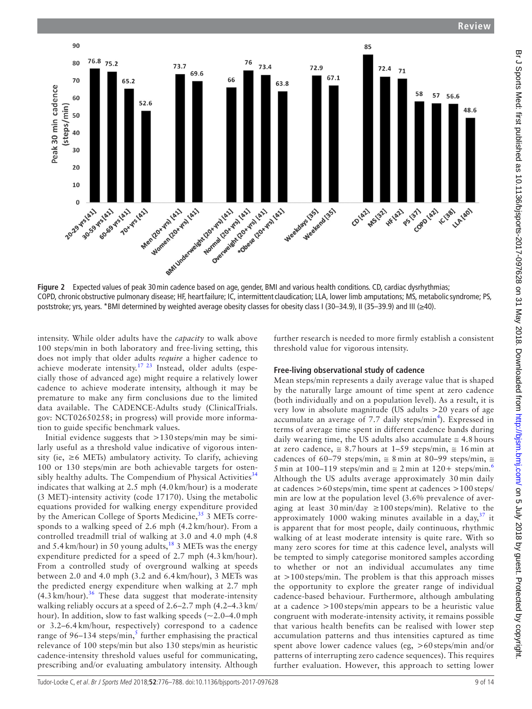

<span id="page-8-0"></span>COPD, chronic obstructive pulmonary disease; HF, heartfailure; IC, intermittentclaudication; LLA, lower limb amputations; MS, metabolicsyndrome; PS, poststroke; yrs, years. \*BMI determined by weighted average obesity classes for obesity class I (30–34.9), II (35–39.9) and III (≥40).

intensity. While older adults have the *capacity* to walk above 100 steps/min in both laboratory and free-living setting, this does not imply that older adults *require* a higher cadence to achieve moderate intensity.<sup>17 23</sup> Instead, older adults (especially those of advanced age) might require a relatively lower cadence to achieve moderate intensity, although it may be premature to make any firm conclusions due to the limited data available. The CADENCE-Adults study (ClinicalTrials. gov: NCT02650258; in progress) will provide more information to guide specific benchmark values.

Initial evidence suggests that >130 steps/min may be similarly useful as a threshold value indicative of vigorous intensity (ie,  $\geq 6$  METs) ambulatory activity. To clarify, achieving 100 or 130 steps/min are both achievable targets for osten-sibly healthy adults. The Compendium of Physical Activities<sup>[34](#page-12-32)</sup> indicates that walking at 2.5 mph (4.0 km/hour) is a moderate (3 MET)-intensity activity (code 17170). Using the metabolic equations provided for walking energy expenditure provided by the American College of Sports Medicine,  $35$  3 METs corresponds to a walking speed of 2.6 mph (4.2 km/hour). From a controlled treadmill trial of walking at 3.0 and 4.0 mph (4.8 and 5.4 km/hour) in 50 young adults,  $^{18}$  $^{18}$  $^{18}$  3 METs was the energy expenditure predicted for a speed of 2.7 mph (4.3 km/hour). From a controlled study of overground walking at speeds between 2.0 and 4.0 mph (3.2 and 6.4 km/hour), 3 METs was the predicted energy expenditure when walking at 2.7 mph  $(4.3 \text{ km/hour})$ .<sup>36</sup> These data suggest that moderate-intensity walking reliably occurs at a speed of 2.6–2.7 mph (4.2–4.3 km/ hour). In addition, slow to fast walking speeds  $\approx 2.0-4.0$  mph or 3.2–6.4 km/hour, respectively) correspond to a cadence range of 96–134 steps/min,<sup>[5](#page-12-3)</sup> further emphasising the practical relevance of 100 steps/min but also 130 steps/min as heuristic cadence-intensity threshold values useful for communicating, prescribing and/or evaluating ambulatory intensity. Although

further research is needed to more firmly establish a consistent threshold value for vigorous intensity.

### **Free-living observational study of cadence**

Mean steps/min represents a daily average value that is shaped by the naturally large amount of time spent at zero cadence (both individually and on a population level). As a result, it is very low in absolute magnitude (US adults >20 years of age accumulate an average of 7.7 daily steps/min<sup>[4](#page-12-2)</sup>). Expressed in terms of average time spent in different cadence bands during daily wearing time, the US adults also accumulate  $\approx$  4.8 hours at zero cadence,  $\approx 8.7$  hours at 1–59 steps/min,  $\approx 16$  min at cadences of 60–79 steps/min,  $\approx$  8 min at 80–99 steps/min,  $\approx$ 5 min at 100–119 steps/min and  $\approx$  2 min at 120+ steps/min.<sup>[6](#page-12-4)</sup> Although the US adults average approximately 30 min daily at cadences >60 steps/min, time spent at cadences >100 steps/ min are low at the population level (3.6% prevalence of averaging at least  $30 \text{min/day} \ge 100 \text{ steps/min}$ . Relative to the approximately 1000 waking minutes available in a day, $37$  it is apparent that for most people, daily continuous, rhythmic walking of at least moderate intensity is quite rare. With so many zero scores for time at this cadence level, analysts will be tempted to simply categorise monitored samples according to whether or not an individual accumulates any time at >100 steps/min. The problem is that this approach misses the opportunity to explore the greater range of individual cadence-based behaviour. Furthermore, although ambulating at a cadence >100 steps/min appears to be a heuristic value congruent with moderate-intensity activity, it remains possible that various health benefits can be realised with lower step accumulation patterns and thus intensities captured as time spent above lower cadence values (eg, >60 steps/min and/or patterns of interrupting zero cadence sequences). This requires further evaluation. However, this approach to setting lower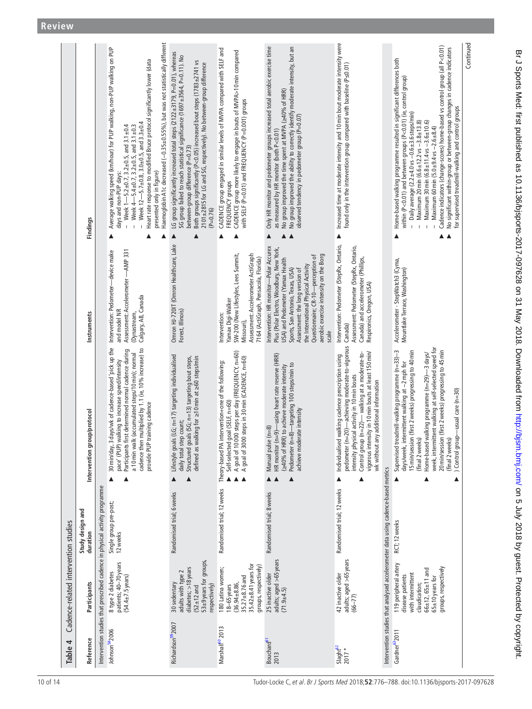<span id="page-9-0"></span>

| Table 4                                  | Cadence-related intervention studies                                                                                                                           |                                                                                   |                                                                                                                                                                                                                                                                                                                                                                                                        |                                                                                                                                                                                                                                                                                                                               |                                                                                                                                                                                                                                                                                                                                                                                                                                                                                                                                                                         |
|------------------------------------------|----------------------------------------------------------------------------------------------------------------------------------------------------------------|-----------------------------------------------------------------------------------|--------------------------------------------------------------------------------------------------------------------------------------------------------------------------------------------------------------------------------------------------------------------------------------------------------------------------------------------------------------------------------------------------------|-------------------------------------------------------------------------------------------------------------------------------------------------------------------------------------------------------------------------------------------------------------------------------------------------------------------------------|-------------------------------------------------------------------------------------------------------------------------------------------------------------------------------------------------------------------------------------------------------------------------------------------------------------------------------------------------------------------------------------------------------------------------------------------------------------------------------------------------------------------------------------------------------------------------|
| Reference                                | Participants                                                                                                                                                   | Study design and<br>duration                                                      | Intervention group/protocol                                                                                                                                                                                                                                                                                                                                                                            | Instruments                                                                                                                                                                                                                                                                                                                   | Findings                                                                                                                                                                                                                                                                                                                                                                                                                                                                                                                                                                |
|                                          |                                                                                                                                                                | Intervention studies that prescribed cadence in physical activity programme       |                                                                                                                                                                                                                                                                                                                                                                                                        |                                                                                                                                                                                                                                                                                                                               |                                                                                                                                                                                                                                                                                                                                                                                                                                                                                                                                                                         |
| Johnson <sup>58</sup> 2006               | patients; 40-70 years<br>8 type 2 diabetes<br>$(54.4 \pm 7.5$ years)                                                                                           | Single group pre-post;<br>12 weeks                                                | 30 min/day, 3 days/wk of cadence-based 'pick up the<br>cadence then multiplied by 1.1 (ie, 10% increase) to<br>Participants first determined normal cadence during<br>a 10 min walk (accumulated steps/10 min); normal<br>pace' (PUP) walking to increase speed/intensity<br>raining cadence<br>provide PUP t                                                                                          | Assessment: Accelerometer - AMP 331<br>Intervention: Pedometer-device make<br>Calgary, AB, Canada<br>and model NR<br>(Dynastream,                                                                                                                                                                                             | Haemoglobin A1c decreased (-0.35±0.55%), but was not statistically different<br>Average walking speed (km/hour) for PUP walking, non-PUP walking on PUP<br>Heart rate response to modified Bruce protocol significantly lower (data<br>$-$ Week 12-5.7±0.8, 3.0±0.5, and 3.3±0.4<br>Week $1 - 5.2 \pm 0.7$ , $3.2 \pm 0.5$ , and $3.1 \pm 0.4$<br>Week $4 - 5.4 \pm 0.7$ , $3.2 \pm 0.5$ , and $3.1 \pm 0.3$<br>presented only in figure)<br>days and non-PUP days:<br>▲<br>Δ<br>▲                                                                                      |
| Richardson <sup>59</sup> 2007            | 53±9years for groups,<br>diabetes; $>18$ years<br>adults with type 2<br>30 sedentary<br>respectively)<br>$(52 \pm 12$ and                                      | Randomised trial; 6 weeks                                                         | Lifestyle goals (LG; n=17) targeting individualised<br>Structured goals (SG; n=13) targeting bout steps,<br>defined as walking for ≥10 min at ≥60 steps/min<br>daily total step count;                                                                                                                                                                                                                 | Omron HJ-720IT (Omron Healthcare, Lake<br>Forest, Illinois)                                                                                                                                                                                                                                                                   | LG group significantly increased total steps (2122±3179, P=0.01), whereas<br>SG group failed to reach statistical significance (1697±3564, P=0.11). No<br>Both groups significantly (P<0.05) increased bout steps (1783±2741 vs<br>2101±2815 for LG and SG, respectively). No between-group difference<br>between-group difference (P=0.73)<br>$(P=0.76)$<br>$\blacktriangle$<br>▲                                                                                                                                                                                      |
| Marshall <sup>60</sup> 2013              | $35.42 \pm 8.41$ years for<br>groups, respectively)<br>180 Latina women;<br>$35.27 + 8.76$ and<br>$(36.94 + 8.86)$<br>18-65 years                              | Randomised trial; 12 weeks                                                        | A goal of 10000 steps per day (FREQUENCY, n=60)<br>A goal of 3000 steps in 30 min (CADENCE, n=60)<br>Theory-based PA intervention+one of the following:<br>Self-selected goal (SELF, n=60)                                                                                                                                                                                                             | SW-200 (New Lifestyles, Lees Summit,<br>Assessment: Accelerometer ActiGraph<br>7164 (ActiGraph, Pensacola, Florida)<br>Yamax Digi-Walker<br>Intervention:<br>Missouri),                                                                                                                                                       | CADENCE group engaged in similar levels of MVPA compared with SELF and<br>CADENCE group more likely to engage in bouts of MVPA>10min compared<br>with SELF (P=0.01) and FREQUENCY (P=0.001) groups<br>FREQUENCY groups<br>▲<br>▲                                                                                                                                                                                                                                                                                                                                        |
| Bouchard <sup>61</sup><br>2013           | $adults$ ; aged $>$ 65 years<br>(71.9 $\pm$ 4.5)<br>25 inactive older                                                                                          | Randomised trial; 8 weeks                                                         | HR monitor (n=9)—using heart rate reserve (HRR)<br>Pedometer (n=8)—targeting 100 steps/min to<br>(≥40% of HRR) to achieve moderate intensity<br>achieve moderate intensity<br>Manual pulse (n=8)                                                                                                                                                                                                       | Intervention: HR monitor-Polar Accurex<br>Plus (Polar Electro, Woodbury, New York,<br>aerobic exercise intensity on the Borg<br>Questionnaire; CR-10-perception of<br>USA) and Pedometer (Yamax Health<br>the International Physical Activity<br>Sports, San Antonio, Texas, USA)<br>Assessment: the long version of<br>scale | Only HR monitor and pedometer groups increased total aerobic exercise time<br>No group improved the ability to correctly identify moderate intensity, but an<br>No group improved the time spent at MVPA (≥40% of HRR)<br>observed tendency in pedometer group (P=0.07)<br>as measured by HR monitor (both P<0.01)<br>▲<br>▲<br>▲                                                                                                                                                                                                                                       |
| $\frac{\text{Slaght}^{\text{62}}}{2017}$ | adults; aged >65 years<br>42 inactive older<br>$(66 - 77)$                                                                                                     | Randomised trial; 12 weeks                                                        | pedometer (n=20)—achieving moderate-to-vigorous<br>vigorous intensity in 10 min bouts at least 150 min/<br>Control group (n=22)— walking at a moderate-to-<br>Individualised walking cadence prescription using<br>intensity physical activity in 10 min bouts<br>wk without any additional information<br>▲                                                                                           | Intervention: Pedometer (StepRx, Ontario,<br>Assessment: Pedometer (StepRx, Ontario,<br>Canada) and accelerometer (Phillips,<br>Respironics, Oregon, USA)<br>Canada)                                                                                                                                                          | Increased time at moderate intensity and 10 min bout moderate intensity were<br>found only in the intervention group compared with baseline (Ps0.01)<br>▲                                                                                                                                                                                                                                                                                                                                                                                                               |
|                                          |                                                                                                                                                                | Intervention studies that analysed accelerometer data using cadence-based metrics |                                                                                                                                                                                                                                                                                                                                                                                                        |                                                                                                                                                                                                                                                                                                                               |                                                                                                                                                                                                                                                                                                                                                                                                                                                                                                                                                                         |
| Gardner <sup>63</sup> 2011               | 119 peripheral artery<br>groups, respectively<br>$66 \pm 12, 65 \pm 11$ and<br>with intermittent<br>disease patients<br>$65 \pm 10$ years for<br>claudication; | RCT; 12 weeks                                                                     | week, intermittent walking at self-selected speed for<br>20 min/session (first 2 weeks) progressing to 45 min<br>15 min/session (first 2 weeks) progressing to 40 min<br>Supervised treadmill-walking programme (n=33)-3<br>days/week, intermittent walking at ~2 mph for<br>Home-based walking programme (n=29)-3 days/<br>Control group-usual care (n=30)<br>(final 2 weeks)<br>(final 2 weeks)<br>▲ | Accelerometer - StepWatch3 (Cyma,<br>Mountlake Terrace, Washington)                                                                                                                                                                                                                                                           | Cadence indicators (change-scores) home-based vs control group (all P<0.01)<br>No significant within-group or between-group changes in cadence indicators<br>Home-based walking programme resulted in significant differences both<br>within (P<0.01) and between groups (P<0.01) (ie, control group)<br>for supervised treadmill-walking and control groups<br>Daily average (2.2±4.0 vs -0.6±3.6 steps/min)<br>Maximum 20 min (6.6±12.2 vs -3.8±13.8)<br>Maximum 30 min (6.8±11.4 vs -3.6±10.6)<br>Maximum 60 min (5.0±9.4 vs -2.6±8.4)<br>$\blacktriangle$<br>▲<br>▲ |
|                                          |                                                                                                                                                                |                                                                                   |                                                                                                                                                                                                                                                                                                                                                                                                        |                                                                                                                                                                                                                                                                                                                               | Continued                                                                                                                                                                                                                                                                                                                                                                                                                                                                                                                                                               |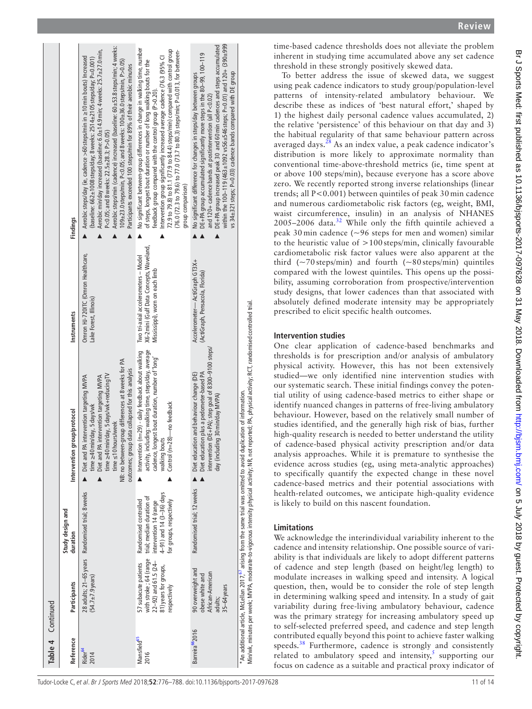| Table 4 Continued               |                                                                                                                   |                                                                                                                                      |                                                                                                                                                                                                                                                                                                    |                                                                                                                    |                                                                                                                                                                                                                                                                                                                                                                                                                                                                                                                                                    |
|---------------------------------|-------------------------------------------------------------------------------------------------------------------|--------------------------------------------------------------------------------------------------------------------------------------|----------------------------------------------------------------------------------------------------------------------------------------------------------------------------------------------------------------------------------------------------------------------------------------------------|--------------------------------------------------------------------------------------------------------------------|----------------------------------------------------------------------------------------------------------------------------------------------------------------------------------------------------------------------------------------------------------------------------------------------------------------------------------------------------------------------------------------------------------------------------------------------------------------------------------------------------------------------------------------------------|
| Reference                       | Participants                                                                                                      | Study design and<br>duration                                                                                                         | Intervention group/protocol                                                                                                                                                                                                                                                                        | <b>Instruments</b>                                                                                                 | Findings                                                                                                                                                                                                                                                                                                                                                                                                                                                                                                                                           |
| Rider <sup>64</sup><br>2014     | $(54.7 \pm 7.9$ years)                                                                                            | 28 adults; 21-65 years Randomised trial; 8 weeks                                                                                     | NB: no between-group differences at 8 weeks for PA<br>outcomes; group data collapsed for this analysis<br>time ≥40 min/day, 5 days/wk+reducingTV<br>Diet and PA intervention targeting MVPA<br>Diet and PA intervention targeting MVPA<br>time ≥40 min/day, 5 days/wk<br>time ≤10 hours/week       | Omron HJ-720ITC (Omron Healthcare,<br>Lake Forest, Illinois)                                                       | Aerobic steps/min (cadence) increased (baseline: 60±53.8 steps/min; 4 weeks:<br>Aerobic min/day increased (baseline: 6.0±14.9 min; 4 weeks: 25.7±27.0 min,<br>Aerobic steps/day (ie, cadence >60 steps/min in ≥10 min bouts) Increased<br>(baseline: 662±1008 steps/day; 8 weeks: 2514±2105 steps/day; P=0.001)<br>109±23.0 steps/min, P<0.05; and 8 weeks: 100±36.0 steps/min, P>0.05)<br>Participants exceeded 100 steps/min for 89% of their aerobic minutes<br>P<0.05; and 8 weeks: 22.5±28.3; P>0.05)<br>$\blacktriangle$<br>$\blacktriangle$ |
| Mansfield <sup>65</sup><br>2016 | with stroke; 64 (range<br>$(2-92)$ and 61.5 (24-<br>57 subacute patients<br>81) years for groups,<br>respectively | intervention 14 (range<br>4–91) and 14 (3–36) days<br>trial; median duration of<br>for groups, respectively<br>Randomised controlled | activity, including: walking time, steps/day, average<br>Intervention ( $n=29$ ) - daily feedback about walking<br>cadence, longest bout duration, number of 'long'<br>Control (n=28)-no feedback<br>walking bouts                                                                                 | X6-2mini (Gulf Data Concepts, Waveland,<br>Two tri-axial accelerometers - Model<br>Mississippi), worn on each limb | No significant between-group differences in change in walking time, number<br>72.9 to 79.8) to 81.1 (77.9 to 84.4) steps/min) compared with control group<br>(76.0 (72.3 to 79.6) to 77.0 (73.7 to 80.3) steps/min; P=0.013, for between-<br>Intervention group significantly increased average cadence (76.3 (95% CI<br>of steps, longest bout duration or number of long walking bouts for the<br>feedback group compared with the control group (P>0.20).<br>group comparison)                                                                  |
| Barreira <sup>bo</sup> 2016     | 90 overweight and<br>African-American<br>obese white and<br>35-64 years<br>adults;                                | Randomised trial; 12 weeks                                                                                                           | intervention (DE+PA); step goal of 8300-9100 steps/<br>Diet education and behaviour change (DE)<br>Diet education plus a pedometer-based PA<br>day (including 30 min/day MVPA)                                                                                                                     | Accelerometer—ActiGraph GT3X+<br>(ActiGraph, Pensacola, Florida)                                                   | within the 100-119 (463±1092 vs56±546 steps; P=0.01) and 120+ (390±999<br>DE+PA group increased peak 30 and 60 min cadences and steps accumulated<br>DE+PA group accumulated significantly more steps in the 80-99, 100-119<br>vs 34±321 steps; P=0.03) cadence bands compared with DE group<br>No significant difference for changes in steps/day between groups<br>and 120+ cadence bands at postintervention (all P<0.02)                                                                                                                       |
|                                 |                                                                                                                   |                                                                                                                                      | Min/wk, minutes per week; MVPA, moderate-to-vigorous intensity physical activity; NR, not reported; PA, physical activity; RCT, randomised controlled trial.<br>* An additional article, McLellan 2017, <sup>67</sup> arising from the same trial was omitted to avoid duplication of information. |                                                                                                                    |                                                                                                                                                                                                                                                                                                                                                                                                                                                                                                                                                    |

time-based cadence thresholds does not alleviate the problem inherent in studying time accumulated above any set cadence threshold in these strongly positively skewed data.

To better address the issue of skewed data, we suggest using peak cadence indicators to study group/population-level patterns of intensity-related ambulatory behaviour. We describe these as indices of 'best natural effort,' shaped by 1) the highest daily personal cadence values accumulated, 2) the relative 'persistence' of this behaviour on that day and 3) the habitual regularity of that same behaviour pattern across averaged days.<sup>[28](#page-12-15)</sup> As an index value, a peak cadence indicator's distribution is more likely to approximate normality than conventional time-above-threshold metrics (ie, time spent at or above 100 steps/min), because everyone has a score above zero. We recently reported strong inverse relationships (linear trends; all P<0.001) between quintiles of peak 30 min cadence and numerous cardiometabolic risk factors (eg, weight, BMI, waist circumference, insulin) in an analysis of NHANES 2005–2006 data.[32](#page-12-27) While only the fifth quintile achieved a peak 30 min cadence  $(-96$  steps for men and women) similar to the heuristic value of >100 steps/min, clinically favourable cardiometabolic risk factor values were also apparent at the third  $(\sim 70 \text{ steps/min})$  and fourth  $(\sim 80 \text{ steps/min})$  quintiles compared with the lowest quintiles. This opens up the possibility, assuming corroboration from prospective/intervention study designs, that lower cadences than that associated with absolutely defined moderate intensity may be appropriately prescribed to elicit specific health outcomes.

# **Intervention studies**

One clear application of cadence-based benchmarks and thresholds is for prescription and/or analysis of ambulatory physical activity. However, this has not been extensively studied—we only identified nine intervention studies with our systematic search. These initial findings convey the potential utility of using cadence-based metrics to either shape or identify nuanced changes in patterns of free-living ambulatory behaviour. However, based on the relatively small number of studies identified, and the generally high risk of bias, further high-quality research is needed to better understand the utility of cadence-based physical activity prescription and/or data analysis approaches. While it is premature to synthesise the evidence across studies (eg, using meta-analytic approaches) to specifically quantify the expected change in these novel cadence-based metrics and their potential associations with health-related outcomes, we anticipate high-quality evidence is likely to build on this nascent foundation.

# **Limitations**

We acknowledge the interindividual variability inherent to the cadence and intensity relationship. One possible source of variability is that individuals are likely to adopt different patterns of cadence and step length (based on height/leg length) to modulate increases in walking speed and intensity. A logical question, then, would be to consider the role of step length in determining walking speed and intensity. In a study of gait variability during free-living ambulatory behaviour, cadence was the primary strategy for increasing ambulatory speed up to self-selected preferred speed, and cadence and step length contributed equally beyond this point to achieve faster walking speeds. $38$  Furthermore, cadence is strongly and consistently related to ambulatory speed and intensity, $5$  supporting our focus on cadence as a suitable and practical proxy indicator of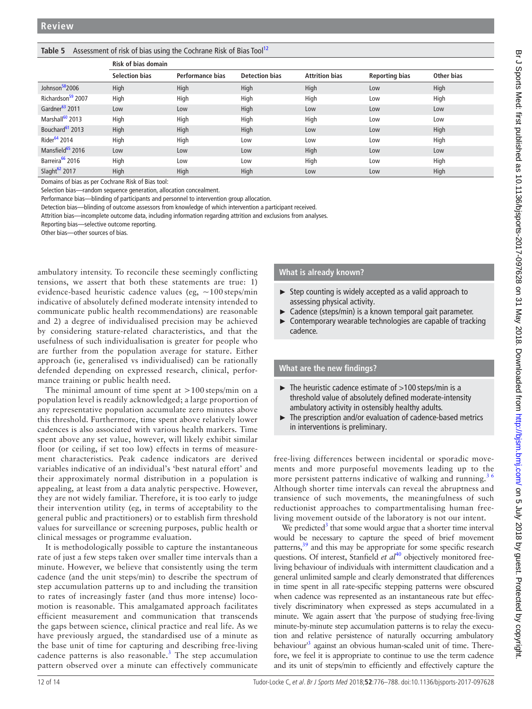### <span id="page-11-0"></span>**Table 5** Assessment of risk of bias using the Cochrane Risk of Bias Tool<sup>12</sup>

|                               | <b>Risk of bias domain</b> |                  |                       |                       |                       |            |
|-------------------------------|----------------------------|------------------|-----------------------|-----------------------|-----------------------|------------|
|                               | <b>Selection bias</b>      | Performance bias | <b>Detection bias</b> | <b>Attrition bias</b> | <b>Reporting bias</b> | Other bias |
| Johnson <sup>58</sup> 2006    | High                       | High             | High                  | High                  | Low                   | High       |
| Richardson <sup>59</sup> 2007 | High                       | High             | High                  | High                  | Low                   | High       |
| Gardner <sup>63</sup> 2011    | Low                        | Low              | High                  | Low                   | Low                   | Low        |
| Marshall <sup>60</sup> 2013   | High                       | High             | High                  | High                  | Low                   | Low        |
| Bouchard <sup>61</sup> 2013   | High                       | High             | High                  | Low                   | Low                   | High       |
| Rider <sup>64</sup> 2014      | High                       | High             | Low                   | Low                   | Low                   | High       |
| Mansfield <sup>65</sup> 2016  | Low                        | Low              | Low                   | High                  | Low                   | Low        |
| Barreira <sup>66</sup> 2016   | High                       | Low              | Low                   | High                  | Low                   | High       |
| Slaght $62$ 2017              | High                       | High             | High                  | Low                   | Low                   | High       |

Domains of bias as per Cochrane Risk of Bias tool:

Selection bias—random sequence generation, allocation concealment.

Performance bias—blinding of participants and personnel to intervention group allocation.

Detection bias—blinding of outcome assessors from knowledge of which intervention a participant received.

Attrition bias—incomplete outcome data, including information regarding attrition and exclusions from analyses.

Reporting bias—selective outcome reporting.

Other bias—other sources of bias.

ambulatory intensity. To reconcile these seemingly conflicting tensions, we assert that both these statements are true: 1) evidence-based heuristic cadence values (eg, ~100 steps/min indicative of absolutely defined moderate intensity intended to communicate public health recommendations) are reasonable and 2) a degree of individualised precision may be achieved by considering stature-related characteristics, and that the usefulness of such individualisation is greater for people who are further from the population average for stature. Either approach (ie, generalised vs individualised) can be rationally defended depending on expressed research, clinical, performance training or public health need.

The minimal amount of time spent at  $>100$  steps/min on a population level is readily acknowledged; a large proportion of any representative population accumulate zero minutes above this threshold. Furthermore, time spent above relatively lower cadences is also associated with various health markers. Time spent above any set value, however, will likely exhibit similar floor (or ceiling, if set too low) effects in terms of measurement characteristics. Peak cadence indicators are derived variables indicative of an individual's 'best natural effort' and their approximately normal distribution in a population is appealing, at least from a data analytic perspective. However, they are not widely familiar. Therefore, it is too early to judge their intervention utility (eg, in terms of acceptability to the general public and practitioners) or to establish firm threshold values for surveillance or screening purposes, public health or clinical messages or programme evaluation.

It is methodologically possible to capture the instantaneous rate of just a few steps taken over smaller time intervals than a minute. However, we believe that consistently using the term cadence (and the unit steps/min) to describe the spectrum of step accumulation patterns up to and including the transition to rates of increasingly faster (and thus more intense) locomotion is reasonable. This amalgamated approach facilitates efficient measurement and communication that transcends the gaps between science, clinical practice and real life. As we have previously argued, the standardised use of a minute as the base unit of time for capturing and describing free-living cadence patterns is also reasonable. $3$  The step accumulation pattern observed over a minute can effectively communicate

### **What is already known?**

- ► Step counting is widely accepted as a valid approach to assessing physical activity.
- ► Cadence (steps/min) is a known temporal gait parameter.
- ► Contemporary wearable technologies are capable of tracking cadence.

### **What are the new findings?**

- $\blacktriangleright$  The heuristic cadence estimate of  $>100$  steps/min is a threshold value of absolutely defined moderate-intensity ambulatory activity in ostensibly healthy adults.
- ► The prescription and/or evaluation of cadence-based metrics in interventions is preliminary.

free-living differences between incidental or sporadic movements and more purposeful movements leading up to the more persistent patterns indicative of walking and running.<sup>36</sup> Although shorter time intervals can reveal the abruptness and transience of such movements, the meaningfulness of such reductionist approaches to compartmentalising human freeliving movement outside of the laboratory is not our intent.

We predicted<sup>3</sup> that some would argue that a shorter time interval would be necessary to capture the speed of brief movement patterns,<sup>[39](#page-12-37)</sup> and this may be appropriate for some specific research questions. Of interest, Stanfield *et al*<sup>[40](#page-12-38)</sup> objectively monitored freeliving behaviour of individuals with intermittent claudication and a general unlimited sample and clearly demonstrated that differences in time spent in all rate-specific stepping patterns were obscured when cadence was represented as an instantaneous rate but effectively discriminatory when expressed as steps accumulated in a minute. We again assert that 'the purpose of studying free-living minute-by-minute step accumulation patterns is to relay the execution and relative persistence of naturally occurring ambulatory behaviour<sup>[3](#page-12-1)</sup> against an obvious human-scaled unit of time. Therefore, we feel it is appropriate to continue to use the term cadence and its unit of steps/min to efficiently and effectively capture the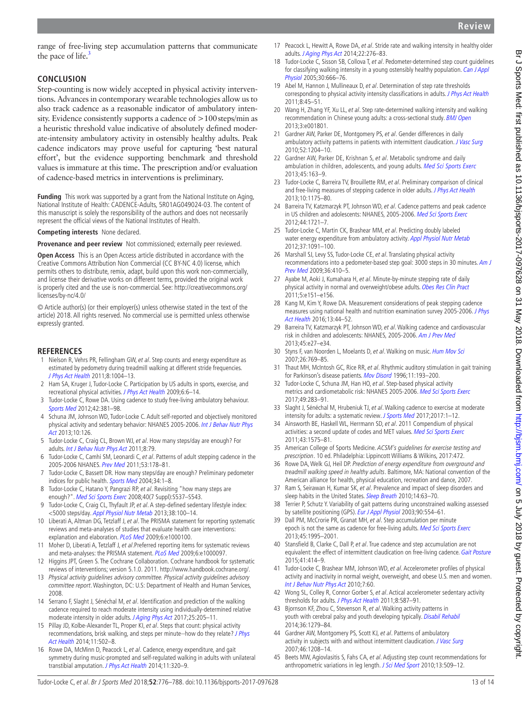range of free-living step accumulation patterns that communicate the pace of life.<sup>3</sup>

#### **Conclusion**

Step-counting is now widely accepted in physical activity interventions. Advances in contemporary wearable technologies allow us to also track cadence as a reasonable indicator of ambulatory intensity. Evidence consistently supports a cadence of  $>$  100 steps/min as a heuristic threshold value indicative of absolutely defined moderate-intensity ambulatory activity in ostensibly healthy adults. Peak cadence indicators may prove useful for capturing 'best natural effort', but the evidence supporting benchmark and threshold values is immature at this time. The prescription and/or evaluation of cadence-based metrics in interventions is preliminary.

**Funding** This work was supported by a grant from the National Institute on Aging, National Institute of Health: CADENCE-Adults, 5R01AG049024-03. The content of this manuscript is solely the responsibility of the authors and does not necessarily represent the official views of the National Institutes of Health.

#### **Competing interests** None declared.

**Provenance and peer review** Not commissioned; externally peer reviewed.

**Open Access** This is an Open Access article distributed in accordance with the Creative Commons Attribution Non Commercial (CC BY-NC 4.0) license, which permits others to distribute, remix, adapt, build upon this work non-commercially, and license their derivative works on different terms, provided the original work is properly cited and the use is non-commercial. See: [http://creativecommons.org/](http://creativecommons.org/licenses/by-nc/4.0/) [licenses/by-nc/4.0/](http://creativecommons.org/licenses/by-nc/4.0/)

© Article author(s) (or their employer(s) unless otherwise stated in the text of the article) 2018. All rights reserved. No commercial use is permitted unless otherwise expressly granted.

#### **References**

- <span id="page-12-23"></span>1 Nielson R, Vehrs PR, Fellingham GW, et al. Step counts and energy expenditure as estimated by pedometry during treadmill walking at different stride frequencies. [J Phys Act Health](http://dx.doi.org/10.1123/jpah.8.7.1004) 2011;8:1004–13.
- <span id="page-12-0"></span>2 Ham SA, Kruger J, Tudor-Locke C. Participation by US adults in sports, exercise, and recreational physical activities. [J Phys Act Health](http://dx.doi.org/10.1123/jpah.6.1.6) 2009;6:6-14.
- <span id="page-12-1"></span>3 Tudor-Locke C, Rowe DA. Using cadence to study free-living ambulatory behaviour. [Sports Med](http://dx.doi.org/10.2165/11599170-000000000-00000) 2012;42:381–98.
- <span id="page-12-2"></span>4 Schuna JM, Johnson WD, Tudor-Locke C. Adult self-reported and objectively monitored physical activity and sedentary behavior: NHANES 2005-2006. Int J Behav Nutr Phys [Act](http://dx.doi.org/10.1186/1479-5868-10-126) 2013;10:126.
- <span id="page-12-3"></span>5 Tudor-Locke C, Craig CL, Brown WJ, et al. How many steps/day are enough? For adults. [Int J Behav Nutr Phys Act](http://dx.doi.org/10.1186/1479-5868-8-79) 2011;8:79.
- <span id="page-12-4"></span>6 Tudor-Locke C, Camhi SM, Leonardi C, et al. Patterns of adult stepping cadence in the 2005-2006 NHANES. [Prev Med](http://dx.doi.org/10.1016/j.ypmed.2011.06.004) 2011;53:178–81.
- 7 Tudor-Locke C, Bassett DR. How many steps/day are enough? Preliminary pedometer indices for public health. [Sports Med](http://www.ncbi.nlm.nih.gov/pubmed/14715035) 2004;34:1-8.
- 8 Tudor-Locke C, Hatano Y, Pangrazi RP, et al. Revisiting "how many steps are enough?". [Med Sci Sports Exerc](http://dx.doi.org/10.1249/MSS.0b013e31817c7133) 2008;40(7 Suppl):S537-S543.
- <span id="page-12-5"></span>9 Tudor-Locke C, Craig CL, Thyfault JP, et al. A step-defined sedentary lifestyle index: <5000 steps/day. [Appl Physiol Nutr Metab](http://dx.doi.org/10.1139/apnm-2012-0235) 2013;38:100–14.
- <span id="page-12-6"></span>10 Liberati A, Altman DG, Tetzlaff J, et al. The PRISMA statement for reporting systematic reviews and meta-analyses of studies that evaluate health care interventions: explanation and elaboration. [PLoS Med](http://dx.doi.org/10.1371/journal.pmed.1000100) 2009;6:e1000100.
- 11 Moher D, Liberati A, Tetzlaff J, et al. Preferred reporting items for systematic reviews and meta-analyses: the PRISMA statement. [PLoS Med](http://dx.doi.org/10.1371/journal.pmed.1000097) 2009;6:e1000097.
- <span id="page-12-7"></span>12 Higgins JPT, Green S. The Cochrane Collaboration. Cochrane handbook for systematic reviews of interventions; version 5.1.0. 2011.<http://www.handbook.cochrane.org/>.
- <span id="page-12-8"></span>13 Physical activity guidelines advisory committee. Physical activity guidelines advisory committee report. Washington, DC: U.S: Department of Health and Human Services, 2008.
- <span id="page-12-9"></span>14 Serrano F, Slaght J, Sénéchal M, et al. Identification and prediction of the walking cadence required to reach moderate intensity using individually-determined relative moderate intensity in older adults. [J Aging Phys Act](http://dx.doi.org/10.1123/japa.2015-0262) 2017;25:205-11.
- <span id="page-12-10"></span>15 Pillay JD, Kolbe-Alexander TL, Proper KI, et al. Steps that count: physical activity recommendations, brisk walking, and steps per minute--how do they relate? J Phys [Act Health](http://dx.doi.org/10.1123/jpah.2012-0210) 2014;11:502–8.
- <span id="page-12-11"></span>16 Rowe DA, McMinn D, Peacock L, et al. Cadence, energy expenditure, and gait symmetry during music-prompted and self-regulated walking in adults with unilateral transtibial amputation. [J Phys Act Health](http://dx.doi.org/10.1123/jpah.2012-0056) 2014;11:320-9.

<span id="page-12-12"></span>17 Peacock L, Hewitt A, Rowe DA, et al. Stride rate and walking intensity in healthy older adults. [J Aging Phys Act](http://dx.doi.org/10.1123/japa.2012-0333) 2014;22:276–83.

- <span id="page-12-13"></span>18 Tudor-Locke C, Sisson SB, Collova T, et al. Pedometer-determined step count quidelines for classifying walking intensity in a young ostensibly healthy population. Can J Appl [Physiol](http://dx.doi.org/10.1139/h05-147) 2005;30:666–76.
- <span id="page-12-24"></span>19 Abel M, Hannon J, Mullineaux D, et al. Determination of step rate thresholds corresponding to physical activity intensity classifications in adults. [J Phys Act Health](http://dx.doi.org/10.1123/jpah.8.1.45) 2011;8:45–51.
- <span id="page-12-25"></span>20 Wang H, Zhang YF, Xu LL, et al. Step rate-determined walking intensity and walking recommendation in Chinese young adults: a cross-sectional study. **[BMJ Open](http://dx.doi.org/10.1136/bmjopen-2012-001801)** 2013;3:e001801.
- <span id="page-12-29"></span>21 Gardner AW, Parker DE, Montgomery PS, et al. Gender differences in daily ambulatory activity patterns in patients with intermittent claudication. [J Vasc Surg](http://dx.doi.org/10.1016/j.jvs.2010.05.115) 2010;52:1204–10.
- <span id="page-12-31"></span>22 Gardner AW, Parker DE, Krishnan S, et al. Metabolic syndrome and daily ambulation in children, adolescents, and young adults. [Med Sci Sports Exerc](http://dx.doi.org/10.1249/MSS.0b013e3182699239) 2013;45:163–9.
- <span id="page-12-17"></span>23 Tudor-Locke C, Barreira TV, Brouillette RM, et al. Preliminary comparison of clinical and free-living measures of stepping cadence in older adults. [J Phys Act Health](http://dx.doi.org/10.1123/jpah.10.8.1175) 2013;10:1175–80.
- <span id="page-12-14"></span>24 Barreira TV, Katzmarzyk PT, Johnson WD, et al. Cadence patterns and peak cadence in US children and adolescents: NHANES, 2005-2006. [Med Sci Sports Exerc](http://dx.doi.org/10.1249/MSS.0b013e318254f2a3) 2012;44:1721–7.
- <span id="page-12-30"></span>25 Tudor-Locke C, Martin CK, Brashear MM, et al. Predicting doubly labeled water energy expenditure from ambulatory activity. [Appl Physiol Nutr Metab](http://dx.doi.org/10.1139/h2012-097) 2012;37:1091–100.
- <span id="page-12-21"></span>26 Marshall SJ, Levy SS, Tudor-Locke CE, et al. Translating physical activity recommendations into a pedometer-based step goal: 3000 steps in 30 minutes. [Am J](http://dx.doi.org/10.1016/j.amepre.2009.01.021)  [Prev Med](http://dx.doi.org/10.1016/j.amepre.2009.01.021) 2009;36:410–5.
- 27 Ayabe M, Aoki J, Kumahara H, et al. Minute-by-minute stepping rate of daily physical activity in normal and overweight/obese adults. [Obes Res Clin Pract](http://dx.doi.org/10.1016/j.orcp.2010.12.009) 2011;5:e151–e156.
- <span id="page-12-15"></span>28 Kang M, Kim Y, Rowe DA. Measurement considerations of peak stepping cadence measures using national health and nutrition examination survey 2005-2006. J Phys [Act Health](http://dx.doi.org/10.1123/jpah.2014-0542) 2016;13:44–52.
- 29 Barreira TV, Katzmarzyk PT, Johnson WD, et al. Walking cadence and cardiovascular risk in children and adolescents: NHANES, 2005-2006. [Am J Prev Med](http://dx.doi.org/10.1016/j.amepre.2013.08.005) 2013;45:e27–e34.
- <span id="page-12-26"></span>30 Styns F, van Noorden L, Moelants D, et al. Walking on music. [Hum Mov Sci](http://dx.doi.org/10.1016/j.humov.2007.07.007) 2007;26:769–85.
- 31 Thaut MH, McIntosh GC, Rice RR, et al. Rhythmic auditory stimulation in gait training for Parkinson's disease patients. [Mov Disord](http://dx.doi.org/10.1002/mds.870110213) 1996;11:193-200.
- <span id="page-12-27"></span>32 Tudor-Locke C, Schuna JM, Han HO, et al. Step-based physical activity metrics and cardiometabolic risk: NHANES 2005-2006. [Med Sci Sports Exerc](http://dx.doi.org/10.1249/MSS.0000000000001100) 2017;49:283–91.
- <span id="page-12-28"></span>33 Slaght J, Sénéchal M, Hrubeniuk TJ, et al. Walking cadence to exercise at moderate intensity for adults: a systematic review. [J Sports Med](http://dx.doi.org/10.1155/2017/4641203) 2017;2017:1-12.
- <span id="page-12-32"></span>34 Ainsworth BE, Haskell WL, Herrmann SD, et al. 2011 Compendium of physical activities: a second update of codes and MET values. [Med Sci Sports Exerc](http://dx.doi.org/10.1249/MSS.0b013e31821ece12) 2011;43:1575–81.
- <span id="page-12-33"></span>35 American College of Sports Medicine. ACSM's guidelines for exercise testing and prescription. 10 ed. Philadelphia: Lippincott Williams & Wilkins, 2017:472.
- <span id="page-12-34"></span>36 Rowe DA, Welk GJ, Heil DP. Prediction of energy expenditure from overground and treadmill walking speed in healthy adults. Baltimore, MA: National convention of the American alliance for health, physical education, recreation and dance, 2007.
- <span id="page-12-35"></span>37 Ram S, Seirawan H, Kumar SK, et al. Prevalence and impact of sleep disorders and sleep habits in the United States. [Sleep Breath](http://dx.doi.org/10.1007/s11325-009-0281-3) 2010;14:63-70.
- <span id="page-12-36"></span>38 Terrier P, Schutz Y. Variability of gait patterns during unconstrained walking assessed by satellite positioning (GPS). [Eur J Appl Physiol](http://dx.doi.org/10.1007/s00421-003-0906-3) 2003;90:554-61.
- <span id="page-12-37"></span>39 Dall PM, McCrorie PR, Granat MH, et al. Step accumulation per minute epoch is not the same as cadence for free-living adults. [Med Sci Sports Exerc](http://dx.doi.org/10.1249/MSS.0b013e3182955780) 2013;45:1995–2001.
- <span id="page-12-38"></span>40 Stansfield B, Clarke C, Dall P, et al. True cadence and step accumulation are not equivalent: the effect of intermittent claudication on free-living cadence. [Gait Posture](http://dx.doi.org/10.1016/j.gaitpost.2014.11.002) 2015;41:414–9.
- <span id="page-12-16"></span>41 Tudor-Locke C, Brashear MM, Johnson WD, et al. Accelerometer profiles of physical activity and inactivity in normal weight, overweight, and obese U.S. men and women. [Int J Behav Nutr Phys Act](http://dx.doi.org/10.1186/1479-5868-7-60) 2010;7:60.
- <span id="page-12-18"></span>42 Wong SL, Colley R, Connor Gorber S, et al. Actical accelerometer sedentary activity thresholds for adults. [J Phys Act Health](http://dx.doi.org/10.1123/jpah.8.4.587) 2011;8:587-91.
- <span id="page-12-19"></span>43 Bjornson KF, Zhou C, Stevenson R, et al. Walking activity patterns in youth with cerebral palsy and youth developing typically. [Disabil Rehabil](http://dx.doi.org/10.3109/09638288.2013.845254) 2014;36:1279–84.
- <span id="page-12-20"></span>44 Gardner AW, Montgomery PS, Scott KJ, et al. Patterns of ambulatory activity in subjects with and without intermittent claudication. [J Vasc Surg](http://dx.doi.org/10.1016/j.jvs.2007.07.038) 2007;46:1208–14.
- <span id="page-12-22"></span>45 Beets MW, Agiovlasitis S, Fahs CA, et al. Adjusting step count recommendations for anthropometric variations in leg length. [J Sci Med Sport](http://dx.doi.org/10.1016/j.jsams.2009.11.002) 2010;13:509-12.